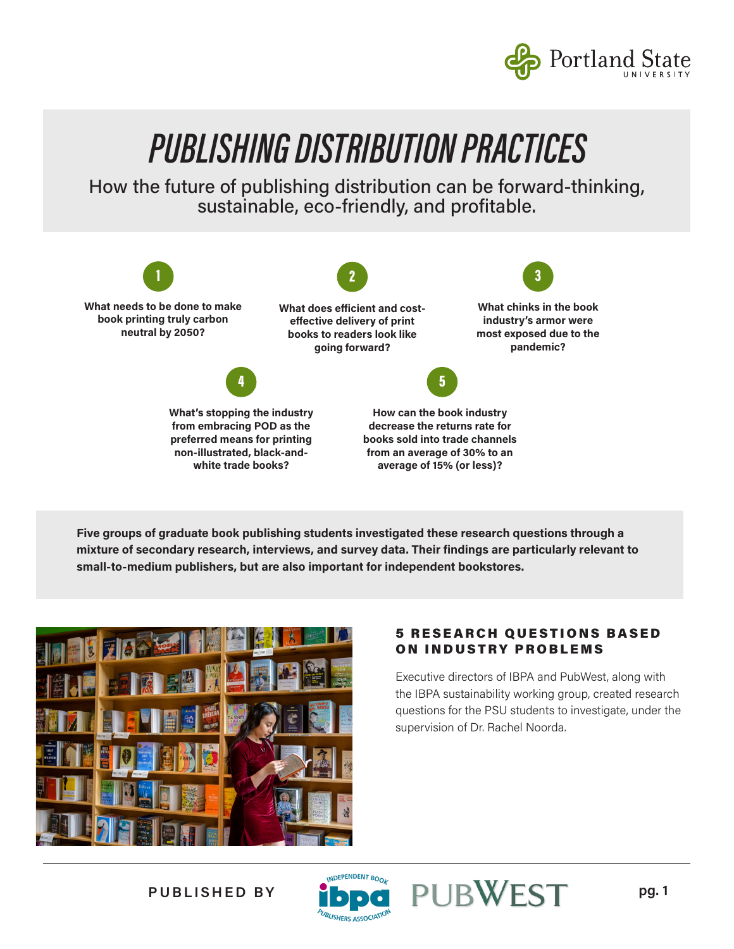

How the future of publishing distribution can be forward-thinking, sustainable, eco-friendly, and profitable.



**Five groups of graduate book publishing students investigated these research questions through a mixture of secondary research, interviews, and survey data. Their findings are particularly relevant to small-to-medium publishers, but are also important for independent bookstores.** 



#### **5 RESEARCH QUESTIONS BASED** ON INDUSTRY PROBLEMS

Executive directors of IBPA and PubWest, along with the IBPA sustainability working group, created research questions for the PSU students to investigate, under the supervision of Dr. Rachel Noorda.



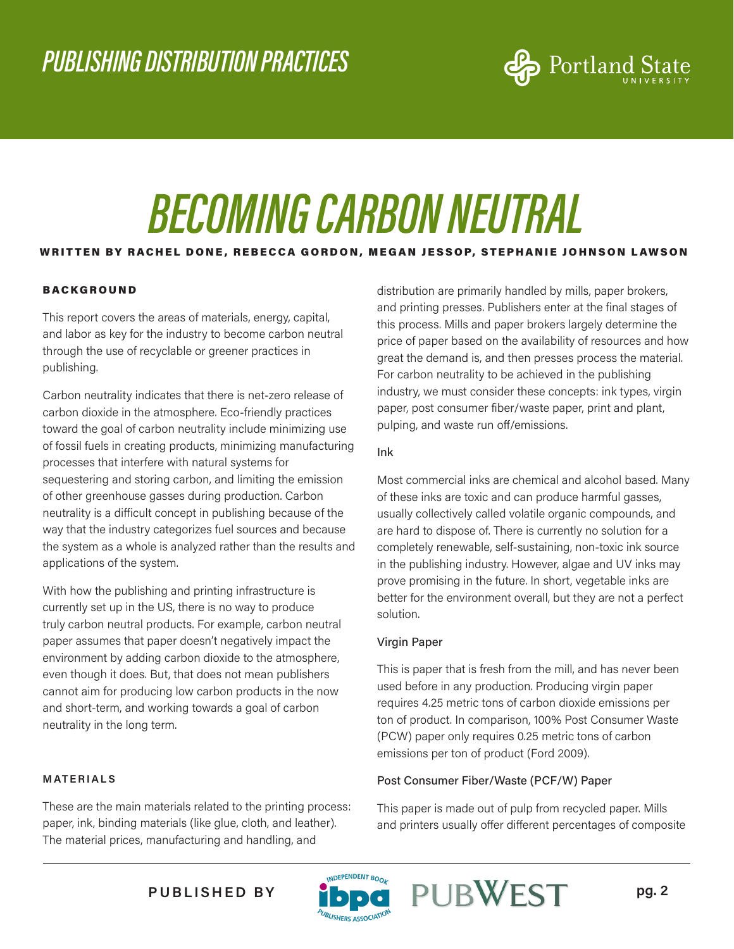

## *BECOMING CARBON NEUTRAL*

#### WRITTEN BY RACHEL DONE, REBECCA GORDON, MEGAN JESSOP, STEPHANIE JOHNSON LAWSON

#### **BACKGROUND**

This report covers the areas of materials, energy, capital, and labor as key for the industry to become carbon neutral through the use of recyclable or greener practices in publishing.

Carbon neutrality indicates that there is net-zero release of carbon dioxide in the atmosphere. Eco-friendly practices toward the goal of carbon neutrality include minimizing use of fossil fuels in creating products, minimizing manufacturing processes that interfere with natural systems for sequestering and storing carbon, and limiting the emission of other greenhouse gasses during production. Carbon neutrality is a difficult concept in publishing because of the way that the industry categorizes fuel sources and because the system as a whole is analyzed rather than the results and applications of the system.

With how the publishing and printing infrastructure is currently set up in the US, there is no way to produce truly carbon neutral products. For example, carbon neutral paper assumes that paper doesn't negatively impact the environment by adding carbon dioxide to the atmosphere, even though it does. But, that does not mean publishers cannot aim for producing low carbon products in the now and short-term, and working towards a goal of carbon neutrality in the long term.

#### **MATERIALS**

These are the main materials related to the printing process: paper, ink, binding materials (like glue, cloth, and leather). The material prices, manufacturing and handling, and

distribution are primarily handled by mills, paper brokers, and printing presses. Publishers enter at the final stages of this process. Mills and paper brokers largely determine the price of paper based on the availability of resources and how great the demand is, and then presses process the material. For carbon neutrality to be achieved in the publishing industry, we must consider these concepts: ink types, virgin paper, post consumer fiber/waste paper, print and plant, pulping, and waste run off/emissions.

#### Ink

Most commercial inks are chemical and alcohol based. Many of these inks are toxic and can produce harmful gasses, usually collectively called volatile organic compounds, and are hard to dispose of. There is currently no solution for a completely renewable, self-sustaining, non-toxic ink source in the publishing industry. However, algae and UV inks may prove promising in the future. In short, vegetable inks are better for the environment overall, but they are not a perfect solution.

#### Virgin Paper

This is paper that is fresh from the mill, and has never been used before in any production. Producing virgin paper requires 4.25 metric tons of carbon dioxide emissions per ton of product. In comparison, 100% Post Consumer Waste (PCW) paper only requires 0.25 metric tons of carbon emissions per ton of product (Ford 2009).

#### Post Consumer Fiber/Waste (PCF/W) Paper

This paper is made out of pulp from recycled paper. Mills and printers usually offer different percentages of composite

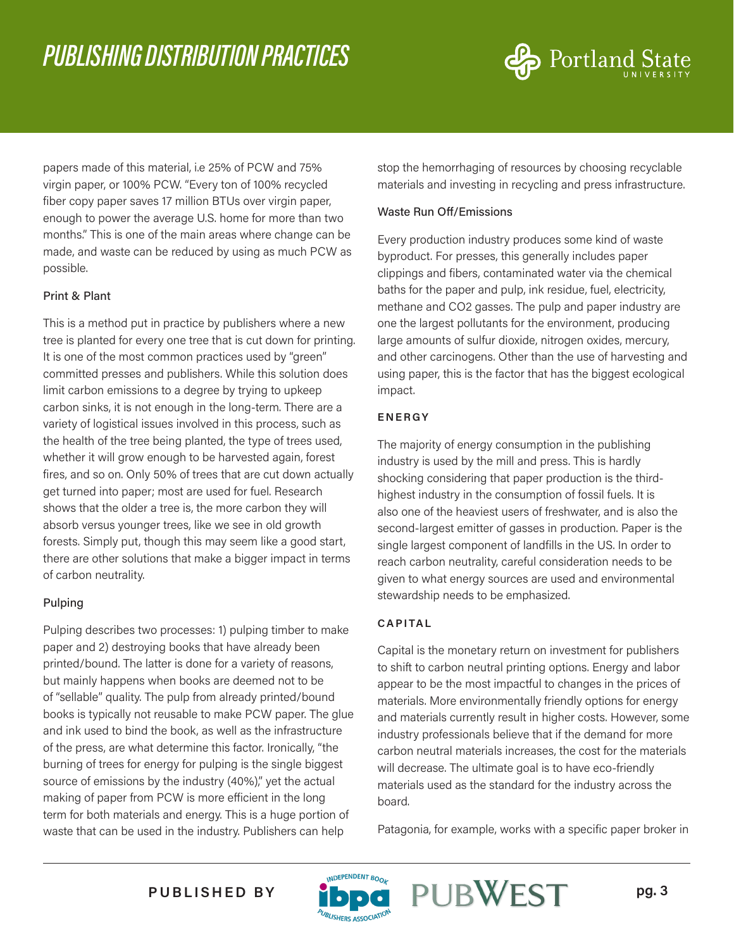

papers made of this material, i.e 25% of PCW and 75% virgin paper, or 100% PCW. "Every ton of 100% recycled fiber copy paper saves 17 million BTUs over virgin paper, enough to power the average U.S. home for more than two months." This is one of the main areas where change can be made, and waste can be reduced by using as much PCW as possible.

#### Print & Plant

This is a method put in practice by publishers where a new tree is planted for every one tree that is cut down for printing. It is one of the most common practices used by "green" committed presses and publishers. While this solution does limit carbon emissions to a degree by trying to upkeep carbon sinks, it is not enough in the long-term. There are a variety of logistical issues involved in this process, such as the health of the tree being planted, the type of trees used, whether it will grow enough to be harvested again, forest fires, and so on. Only 50% of trees that are cut down actually get turned into paper; most are used for fuel. Research shows that the older a tree is, the more carbon they will absorb versus younger trees, like we see in old growth forests. Simply put, though this may seem like a good start, there are other solutions that make a bigger impact in terms of carbon neutrality.

#### Pulping

Pulping describes two processes: 1) pulping timber to make paper and 2) destroying books that have already been printed/bound. The latter is done for a variety of reasons, but mainly happens when books are deemed not to be of "sellable" quality. The pulp from already printed/bound books is typically not reusable to make PCW paper. The glue and ink used to bind the book, as well as the infrastructure of the press, are what determine this factor. Ironically, "the burning of trees for energy for pulping is the single biggest source of emissions by the industry (40%)," yet the actual making of paper from PCW is more efficient in the long term for both materials and energy. This is a huge portion of waste that can be used in the industry. Publishers can help

stop the hemorrhaging of resources by choosing recyclable materials and investing in recycling and press infrastructure.

#### Waste Run Off/Emissions

Every production industry produces some kind of waste byproduct. For presses, this generally includes paper clippings and fibers, contaminated water via the chemical baths for the paper and pulp, ink residue, fuel, electricity, methane and CO2 gasses. The pulp and paper industry are one the largest pollutants for the environment, producing large amounts of sulfur dioxide, nitrogen oxides, mercury, and other carcinogens. Other than the use of harvesting and using paper, this is the factor that has the biggest ecological impact.

#### **ENERGY**

The majority of energy consumption in the publishing industry is used by the mill and press. This is hardly shocking considering that paper production is the thirdhighest industry in the consumption of fossil fuels. It is also one of the heaviest users of freshwater, and is also the second-largest emitter of gasses in production. Paper is the single largest component of landfills in the US. In order to reach carbon neutrality, careful consideration needs to be given to what energy sources are used and environmental stewardship needs to be emphasized.

#### **CAPITAL**

Capital is the monetary return on investment for publishers to shift to carbon neutral printing options. Energy and labor appear to be the most impactful to changes in the prices of materials. More environmentally friendly options for energy and materials currently result in higher costs. However, some industry professionals believe that if the demand for more carbon neutral materials increases, the cost for the materials will decrease. The ultimate goal is to have eco-friendly materials used as the standard for the industry across the board.

Patagonia, for example, works with a specific paper broker in

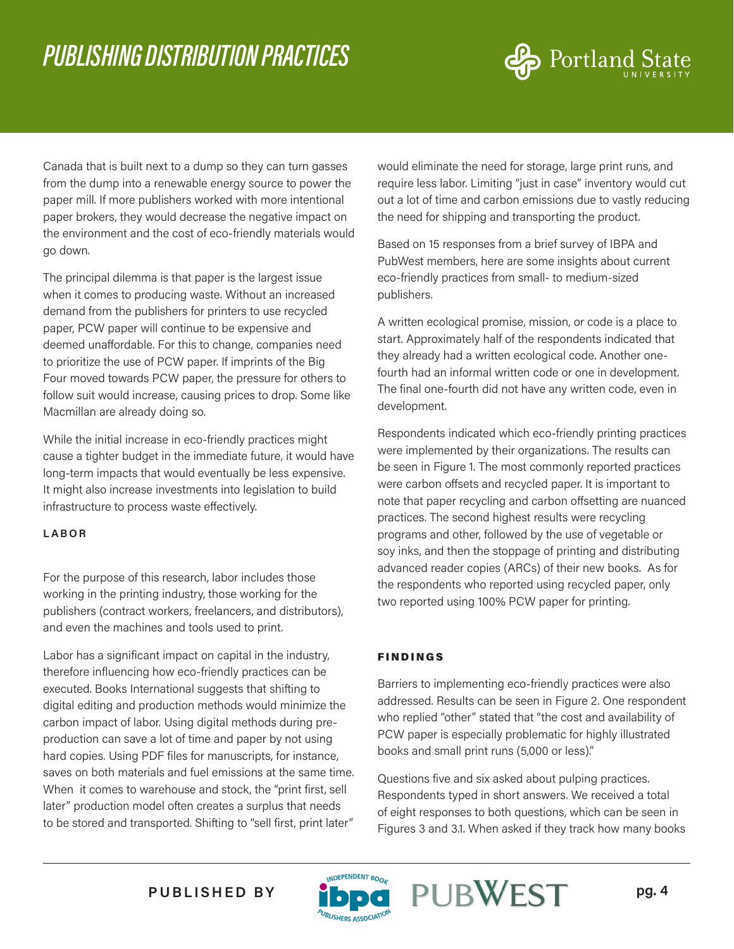

Canada that is built next to a dump so they can turn gasses from the dump into a renewable energy source to power the paper mill. If more publishers worked with more intentional paper brokers, they would decrease the negative impact on the environment and the cost of eco-friendly materials would go down.

The principal dilemma is that paper is the largest issue when it comes to producing waste. Without an increased demand from the publishers for printers to use recycled paper, PCW paper will continue to be expensive and deemed unaffordable. For this to change, companies need to prioritize the use of PCW paper. If imprints of the Big Four moved towards PCW paper, the pressure for others to follow suit would increase, causing prices to drop. Some like Macmillan are already doing so.

While the initial increase in eco-friendly practices might cause a tighter budget in the immediate future, it would have long-term impacts that would eventually be less expensive. It might also increase investments into legislation to build infrastructure to process waste effectively.

#### **LABOR**

For the purpose of this research, labor includes those working in the printing industry, those working for the publishers (contract workers, freelancers, and distributors), and even the machines and tools used to print.

Labor has a significant impact on capital in the industry, therefore influencing how eco-friendly practices can be executed. Books International suggests that shifting to digital editing and production methods would minimize the carbon impact of labor. Using digital methods during preproduction can save a lot of time and paper by not using hard copies. Using PDF files for manuscripts, for instance, saves on both materials and fuel emissions at the same time. When it comes to warehouse and stock, the "print first, sell later" production model often creates a surplus that needs to be stored and transported. Shifting to "sell first, print later"

would eliminate the need for storage, large print runs, and require less labor. Limiting "just in case" inventory would cut out a lot of time and carbon emissions due to vastly reducing the need for shipping and transporting the product.

Based on 15 responses from a brief survey of IBPA and PubWest members, here are some insights about current eco-friendly practices from small- to medium-sized publishers.

A written ecological promise, mission, or code is a place to start. Approximately half of the respondents indicated that they already had a written ecological code. Another onefourth had an informal written code or one in development. The final one-fourth did not have any written code, even in development.

Respondents indicated which eco-friendly printing practices were implemented by their organizations. The results can be seen in Figure 1. The most commonly reported practices were carbon offsets and recycled paper. It is important to note that paper recycling and carbon offsetting are nuanced practices. The second highest results were recycling programs and other, followed by the use of vegetable or soy inks, and then the stoppage of printing and distributing advanced reader copies (ARCs) of their new books. As for the respondents who reported using recycled paper, only two reported using 100% PCW paper for printing.

#### FINDINGS

Barriers to implementing eco-friendly practices were also addressed. Results can be seen in Figure 2. One respondent who replied "other" stated that "the cost and availability of PCW paper is especially problematic for highly illustrated books and small print runs (5,000 or less)."

Questions five and six asked about pulping practices. Respondents typed in short answers. We received a total of eight responses to both questions, which can be seen in Figures 3 and 3.1. When asked if they track how many books

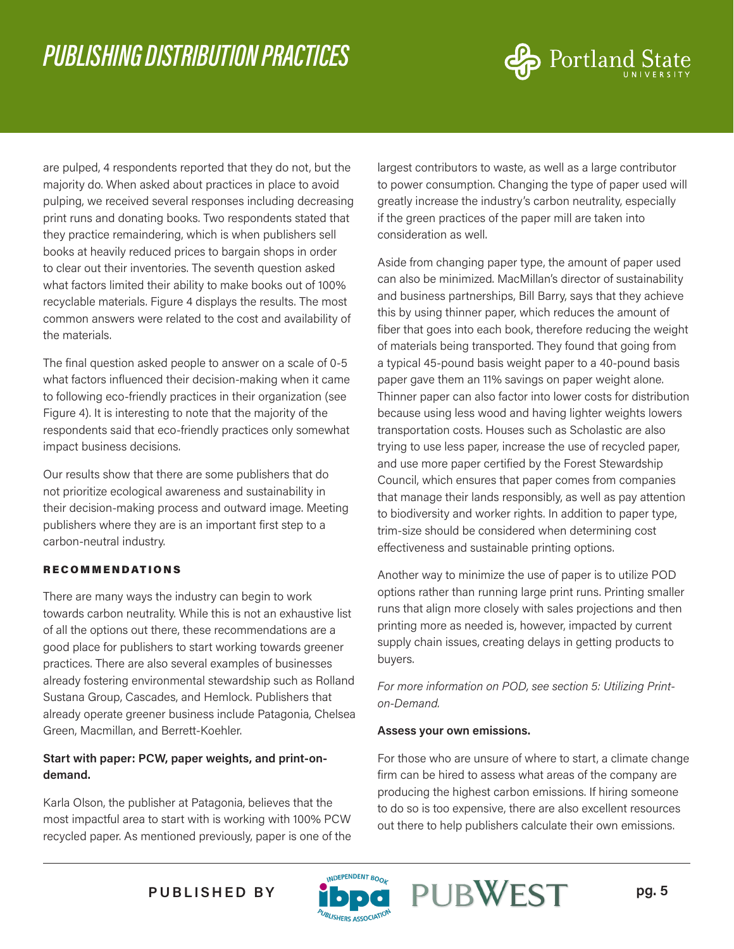

are pulped, 4 respondents reported that they do not, but the majority do. When asked about practices in place to avoid pulping, we received several responses including decreasing print runs and donating books. Two respondents stated that they practice remaindering, which is when publishers sell books at heavily reduced prices to bargain shops in order to clear out their inventories. The seventh question asked what factors limited their ability to make books out of 100% recyclable materials. Figure 4 displays the results. The most common answers were related to the cost and availability of the materials.

The final question asked people to answer on a scale of 0-5 what factors influenced their decision-making when it came to following eco-friendly practices in their organization (see Figure 4). It is interesting to note that the majority of the respondents said that eco-friendly practices only somewhat impact business decisions.

Our results show that there are some publishers that do not prioritize ecological awareness and sustainability in their decision-making process and outward image. Meeting publishers where they are is an important first step to a carbon-neutral industry.

#### RECOMMENDATIONS

There are many ways the industry can begin to work towards carbon neutrality. While this is not an exhaustive list of all the options out there, these recommendations are a good place for publishers to start working towards greener practices. There are also several examples of businesses already fostering environmental stewardship such as Rolland Sustana Group, Cascades, and Hemlock. Publishers that already operate greener business include Patagonia, Chelsea Green, Macmillan, and Berrett-Koehler.

#### **Start with paper: PCW, paper weights, and print-ondemand.**

Karla Olson, the publisher at Patagonia, believes that the most impactful area to start with is working with 100% PCW recycled paper. As mentioned previously, paper is one of the largest contributors to waste, as well as a large contributor to power consumption. Changing the type of paper used will greatly increase the industry's carbon neutrality, especially if the green practices of the paper mill are taken into consideration as well.

Aside from changing paper type, the amount of paper used can also be minimized. MacMillan's director of sustainability and business partnerships, Bill Barry, says that they achieve this by using thinner paper, which reduces the amount of fiber that goes into each book, therefore reducing the weight of materials being transported. They found that going from a typical 45-pound basis weight paper to a 40-pound basis paper gave them an 11% savings on paper weight alone. Thinner paper can also factor into lower costs for distribution because using less wood and having lighter weights lowers transportation costs. Houses such as Scholastic are also trying to use less paper, increase the use of recycled paper, and use more paper certified by the Forest Stewardship Council, which ensures that paper comes from companies that manage their lands responsibly, as well as pay attention to biodiversity and worker rights. In addition to paper type, trim-size should be considered when determining cost effectiveness and sustainable printing options.

Another way to minimize the use of paper is to utilize POD options rather than running large print runs. Printing smaller runs that align more closely with sales projections and then printing more as needed is, however, impacted by current supply chain issues, creating delays in getting products to buyers.

*For more information on POD, see section 5: Utilizing Printon-Demand.*

#### **Assess your own emissions.**

For those who are unsure of where to start, a climate change firm can be hired to assess what areas of the company are producing the highest carbon emissions. If hiring someone to do so is too expensive, there are also excellent resources out there to help publishers calculate their own emissions.

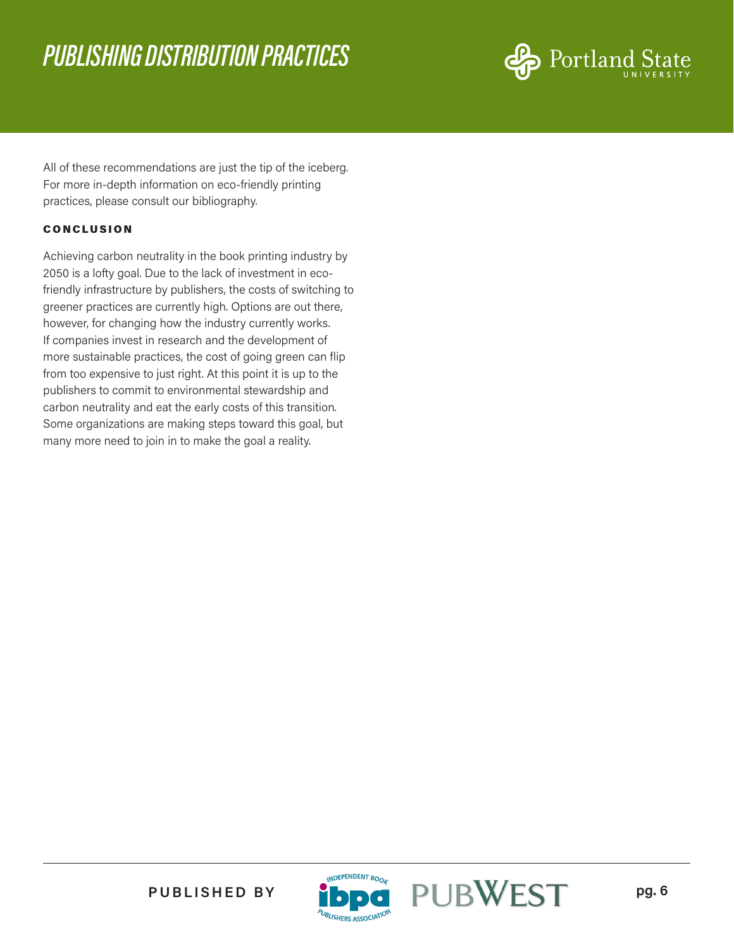

All of these recommendations are just the tip of the iceberg. For more in-depth information on eco-friendly printing practices, please consult our bibliography.

#### **CONCLUSION**

Achieving carbon neutrality in the book printing industry by 2050 is a lofty goal. Due to the lack of investment in ecofriendly infrastructure by publishers, the costs of switching to greener practices are currently high. Options are out there, however, for changing how the industry currently works. If companies invest in research and the development of more sustainable practices, the cost of going green can flip from too expensive to just right. At this point it is up to the publishers to commit to environmental stewardship and carbon neutrality and eat the early costs of this transition. Some organizations are making steps toward this goal, but many more need to join in to make the goal a reality.



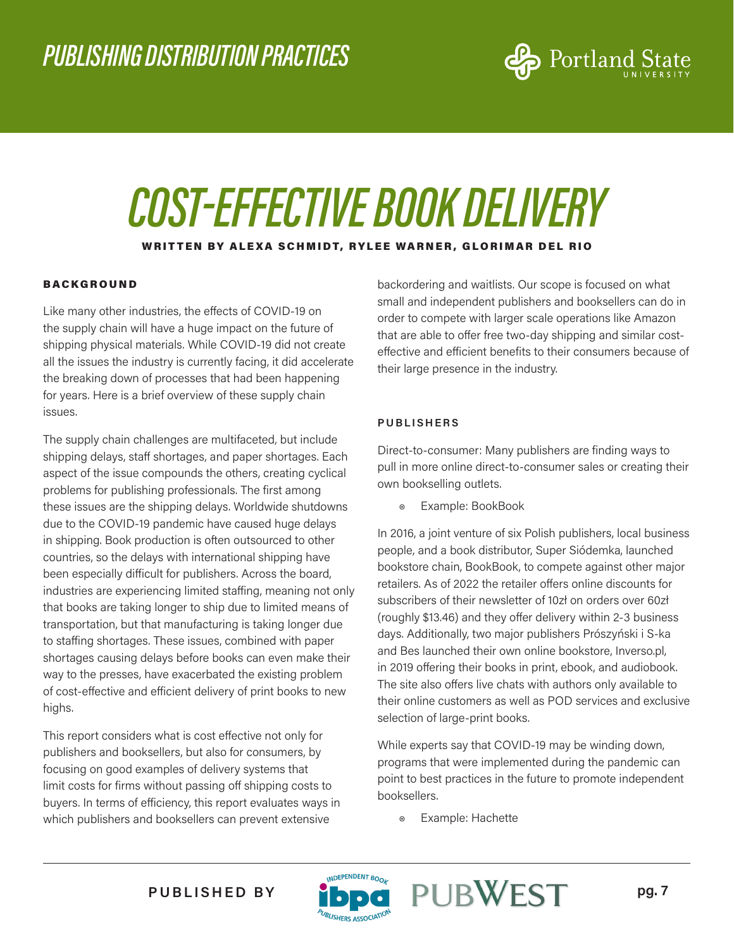

### *COST-EFFECTIVE BOOK DELIVERY* WRITTEN BY ALEXA SCHMIDT, RYLEE WARNER, GLORIMAR DEL RIO

#### BACKGROUND

Like many other industries, the effects of COVID-19 on the supply chain will have a huge impact on the future of shipping physical materials. While COVID-19 did not create all the issues the industry is currently facing, it did accelerate the breaking down of processes that had been happening for years. Here is a brief overview of these supply chain issues.

The supply chain challenges are multifaceted, but include shipping delays, staff shortages, and paper shortages. Each aspect of the issue compounds the others, creating cyclical problems for publishing professionals. The first among these issues are the shipping delays. Worldwide shutdowns due to the COVID-19 pandemic have caused huge delays in shipping. Book production is often outsourced to other countries, so the delays with international shipping have been especially difficult for publishers. Across the board, industries are experiencing limited staffing, meaning not only that books are taking longer to ship due to limited means of transportation, but that manufacturing is taking longer due to staffing shortages. These issues, combined with paper shortages causing delays before books can even make their way to the presses, have exacerbated the existing problem of cost-effective and efficient delivery of print books to new highs.

This report considers what is cost effective not only for publishers and booksellers, but also for consumers, by focusing on good examples of delivery systems that limit costs for firms without passing off shipping costs to buyers. In terms of efficiency, this report evaluates ways in which publishers and booksellers can prevent extensive

backordering and waitlists. Our scope is focused on what small and independent publishers and booksellers can do in order to compete with larger scale operations like Amazon that are able to offer free two-day shipping and similar costeffective and efficient benefits to their consumers because of their large presence in the industry.

#### **PUBLISHERS**

Direct-to-consumer: Many publishers are finding ways to pull in more online direct-to-consumer sales or creating their own bookselling outlets.

◉ Example: BookBook

In 2016, a joint venture of six Polish publishers, local business people, and a book distributor, Super Siódemka, launched bookstore chain, BookBook, to compete against other major retailers. As of 2022 the retailer offers online discounts for subscribers of their newsletter of 10zł on orders over 60zł (roughly \$13.46) and they offer delivery within 2-3 business days. Additionally, two major publishers Prószyński i S-ka and Bes launched their own online bookstore, Inverso.pl, in 2019 offering their books in print, ebook, and audiobook. The site also offers live chats with authors only available to their online customers as well as POD services and exclusive selection of large-print books.

While experts say that COVID-19 may be winding down, programs that were implemented during the pandemic can point to best practices in the future to promote independent booksellers.

◉ Example: Hachette



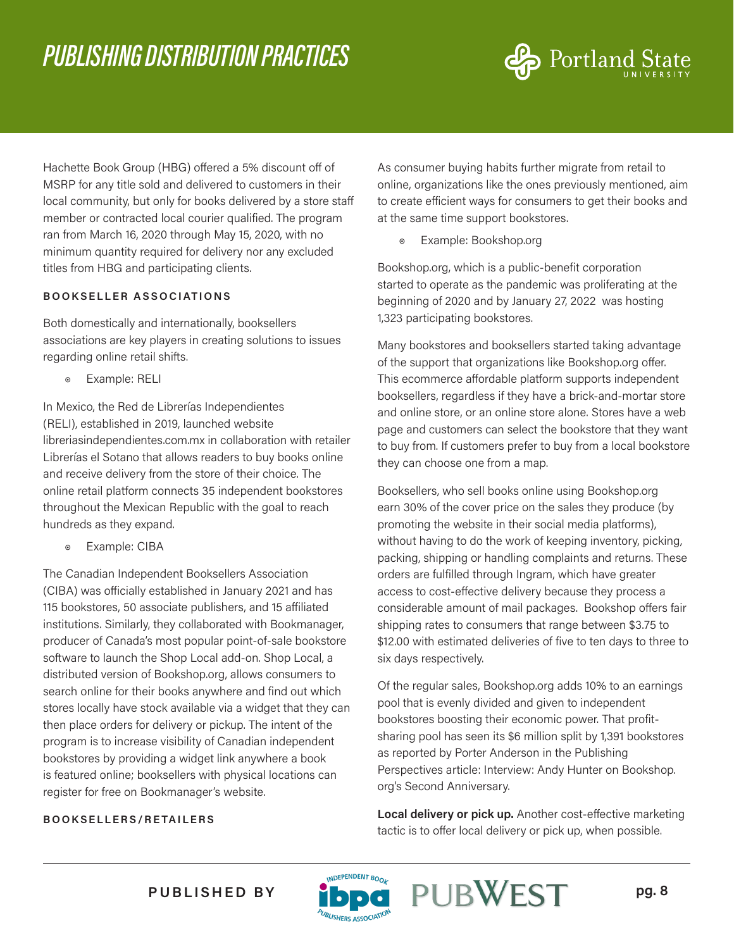

Hachette Book Group (HBG) offered a 5% discount off of MSRP for any title sold and delivered to customers in their local community, but only for books delivered by a store staff member or contracted local courier qualified. The program ran from March 16, 2020 through May 15, 2020, with no minimum quantity required for delivery nor any excluded titles from HBG and participating clients.

#### **BOOKSELLER ASSOCIATIONS**

Both domestically and internationally, booksellers associations are key players in creating solutions to issues regarding online retail shifts.

◉ Example: RELI

In Mexico, the Red de Librerías Independientes (RELI), established in 2019, launched website libreriasindependientes.com.mx in collaboration with retailer Librerías el Sotano that allows readers to buy books online and receive delivery from the store of their choice. The online retail platform connects 35 independent bookstores throughout the Mexican Republic with the goal to reach hundreds as they expand.

◉ Example: CIBA

The Canadian Independent Booksellers Association (CIBA) was officially established in January 2021 and has 115 bookstores, 50 associate publishers, and 15 affiliated institutions. Similarly, they collaborated with Bookmanager, producer of Canada's most popular point-of-sale bookstore software to launch the Shop Local add-on. Shop Local, a distributed version of Bookshop.org, allows consumers to search online for their books anywhere and find out which stores locally have stock available via a widget that they can then place orders for delivery or pickup. The intent of the program is to increase visibility of Canadian independent bookstores by providing a widget link anywhere a book is featured online; booksellers with physical locations can register for free on Bookmanager's website.

#### **BOOKSELLERS/RETAILERS**

As consumer buying habits further migrate from retail to online, organizations like the ones previously mentioned, aim to create efficient ways for consumers to get their books and at the same time support bookstores.

◉ Example: Bookshop.org

Bookshop.org, which is a public-benefit corporation started to operate as the pandemic was proliferating at the beginning of 2020 and by January 27, 2022 was hosting 1,323 participating bookstores.

Many bookstores and booksellers started taking advantage of the support that organizations like Bookshop.org offer. This ecommerce affordable platform supports independent booksellers, regardless if they have a brick-and-mortar store and online store, or an online store alone. Stores have a web page and customers can select the bookstore that they want to buy from. If customers prefer to buy from a local bookstore they can choose one from a map.

Booksellers, who sell books online using Bookshop.org earn 30% of the cover price on the sales they produce (by promoting the website in their social media platforms), without having to do the work of keeping inventory, picking, packing, shipping or handling complaints and returns. These orders are fulfilled through Ingram, which have greater access to cost-effective delivery because they process a considerable amount of mail packages. Bookshop offers fair shipping rates to consumers that range between \$3.75 to \$12.00 with estimated deliveries of five to ten days to three to six days respectively.

Of the regular sales, Bookshop.org adds 10% to an earnings pool that is evenly divided and given to independent bookstores boosting their economic power. That profitsharing pool has seen its \$6 million split by 1,391 bookstores as reported by Porter Anderson in the Publishing Perspectives article: Interview: Andy Hunter on Bookshop. org's Second Anniversary.

**Local delivery or pick up.** Another cost-effective marketing tactic is to offer local delivery or pick up, when possible.



LISHERS ASSOCIAT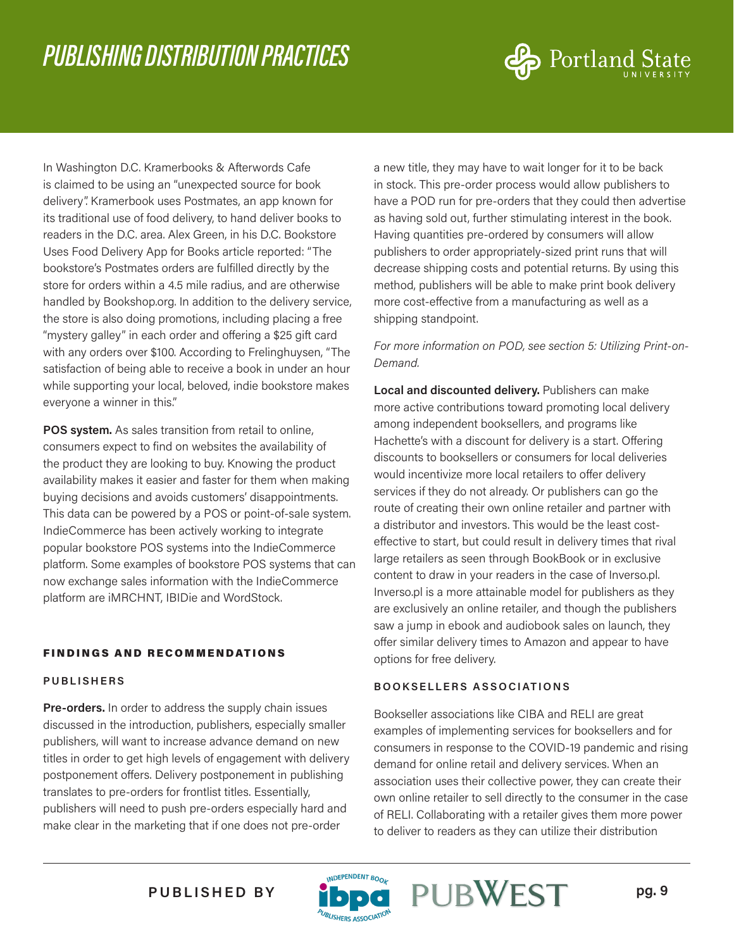

In Washington D.C. Kramerbooks & Afterwords Cafe is claimed to be using an "unexpected source for book delivery". Kramerbook uses Postmates, an app known for its traditional use of food delivery, to hand deliver books to readers in the D.C. area. Alex Green, in his D.C. Bookstore Uses Food Delivery App for Books article reported: "The bookstore's Postmates orders are fulfilled directly by the store for orders within a 4.5 mile radius, and are otherwise handled by Bookshop.org. In addition to the delivery service, the store is also doing promotions, including placing a free "mystery galley" in each order and offering a \$25 gift card with any orders over \$100. According to Frelinghuysen, "The satisfaction of being able to receive a book in under an hour while supporting your local, beloved, indie bookstore makes everyone a winner in this."

**POS system.** As sales transition from retail to online, consumers expect to find on websites the availability of the product they are looking to buy. Knowing the product availability makes it easier and faster for them when making buying decisions and avoids customers' disappointments. This data can be powered by a POS or point-of-sale system. IndieCommerce has been actively working to integrate popular bookstore POS systems into the IndieCommerce platform. Some examples of bookstore POS systems that can now exchange sales information with the IndieCommerce platform are iMRCHNT, IBIDie and WordStock.

#### FINDINGS AND RECOMMENDATIONS

#### **PUBLISHERS**

**Pre-orders.** In order to address the supply chain issues discussed in the introduction, publishers, especially smaller publishers, will want to increase advance demand on new titles in order to get high levels of engagement with delivery postponement offers. Delivery postponement in publishing translates to pre-orders for frontlist titles. Essentially, publishers will need to push pre-orders especially hard and make clear in the marketing that if one does not pre-order

a new title, they may have to wait longer for it to be back in stock. This pre-order process would allow publishers to have a POD run for pre-orders that they could then advertise as having sold out, further stimulating interest in the book. Having quantities pre-ordered by consumers will allow publishers to order appropriately-sized print runs that will decrease shipping costs and potential returns. By using this method, publishers will be able to make print book delivery more cost-effective from a manufacturing as well as a shipping standpoint.

#### *For more information on POD, see section 5: Utilizing Print-on-Demand.*

**Local and discounted delivery.** Publishers can make more active contributions toward promoting local delivery among independent booksellers, and programs like Hachette's with a discount for delivery is a start. Offering discounts to booksellers or consumers for local deliveries would incentivize more local retailers to offer delivery services if they do not already. Or publishers can go the route of creating their own online retailer and partner with a distributor and investors. This would be the least costeffective to start, but could result in delivery times that rival large retailers as seen through BookBook or in exclusive content to draw in your readers in the case of Inverso.pl. Inverso.pl is a more attainable model for publishers as they are exclusively an online retailer, and though the publishers saw a jump in ebook and audiobook sales on launch, they offer similar delivery times to Amazon and appear to have options for free delivery.

#### **BOOKSELLERS ASSOCIATIONS**

Bookseller associations like CIBA and RELI are great examples of implementing services for booksellers and for consumers in response to the COVID-19 pandemic and rising demand for online retail and delivery services. When an association uses their collective power, they can create their own online retailer to sell directly to the consumer in the case of RELI. Collaborating with a retailer gives them more power to deliver to readers as they can utilize their distribution

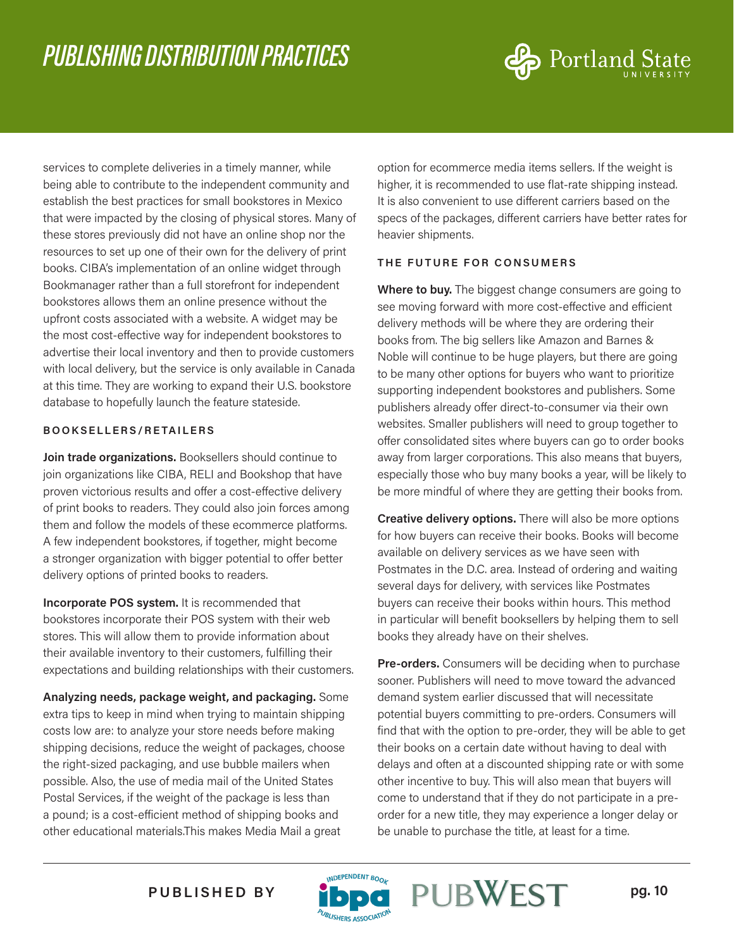

services to complete deliveries in a timely manner, while being able to contribute to the independent community and establish the best practices for small bookstores in Mexico that were impacted by the closing of physical stores. Many of these stores previously did not have an online shop nor the resources to set up one of their own for the delivery of print books. CIBA's implementation of an online widget through Bookmanager rather than a full storefront for independent bookstores allows them an online presence without the upfront costs associated with a website. A widget may be the most cost-effective way for independent bookstores to advertise their local inventory and then to provide customers with local delivery, but the service is only available in Canada at this time. They are working to expand their U.S. bookstore database to hopefully launch the feature stateside.

#### **BOOKSELLERS/RETAILERS**

**Join trade organizations.** Booksellers should continue to join organizations like CIBA, RELI and Bookshop that have proven victorious results and offer a cost-effective delivery of print books to readers. They could also join forces among them and follow the models of these ecommerce platforms. A few independent bookstores, if together, might become a stronger organization with bigger potential to offer better delivery options of printed books to readers.

**Incorporate POS system.** It is recommended that bookstores incorporate their POS system with their web stores. This will allow them to provide information about their available inventory to their customers, fulfilling their expectations and building relationships with their customers.

**Analyzing needs, package weight, and packaging.** Some extra tips to keep in mind when trying to maintain shipping costs low are: to analyze your store needs before making shipping decisions, reduce the weight of packages, choose the right-sized packaging, and use bubble mailers when possible. Also, the use of media mail of the United States Postal Services, if the weight of the package is less than a pound; is a cost-efficient method of shipping books and other educational materials.This makes Media Mail a great

option for ecommerce media items sellers. If the weight is higher, it is recommended to use flat-rate shipping instead. It is also convenient to use different carriers based on the specs of the packages, different carriers have better rates for heavier shipments.

#### **THE FUTURE FOR CONSUMERS**

**Where to buy.** The biggest change consumers are going to see moving forward with more cost-effective and efficient delivery methods will be where they are ordering their books from. The big sellers like Amazon and Barnes & Noble will continue to be huge players, but there are going to be many other options for buyers who want to prioritize supporting independent bookstores and publishers. Some publishers already offer direct-to-consumer via their own websites. Smaller publishers will need to group together to offer consolidated sites where buyers can go to order books away from larger corporations. This also means that buyers, especially those who buy many books a year, will be likely to be more mindful of where they are getting their books from.

**Creative delivery options.** There will also be more options for how buyers can receive their books. Books will become available on delivery services as we have seen with Postmates in the D.C. area. Instead of ordering and waiting several days for delivery, with services like Postmates buyers can receive their books within hours. This method in particular will benefit booksellers by helping them to sell books they already have on their shelves.

**Pre-orders.** Consumers will be deciding when to purchase sooner. Publishers will need to move toward the advanced demand system earlier discussed that will necessitate potential buyers committing to pre-orders. Consumers will find that with the option to pre-order, they will be able to get their books on a certain date without having to deal with delays and often at a discounted shipping rate or with some other incentive to buy. This will also mean that buyers will come to understand that if they do not participate in a preorder for a new title, they may experience a longer delay or be unable to purchase the title, at least for a time.

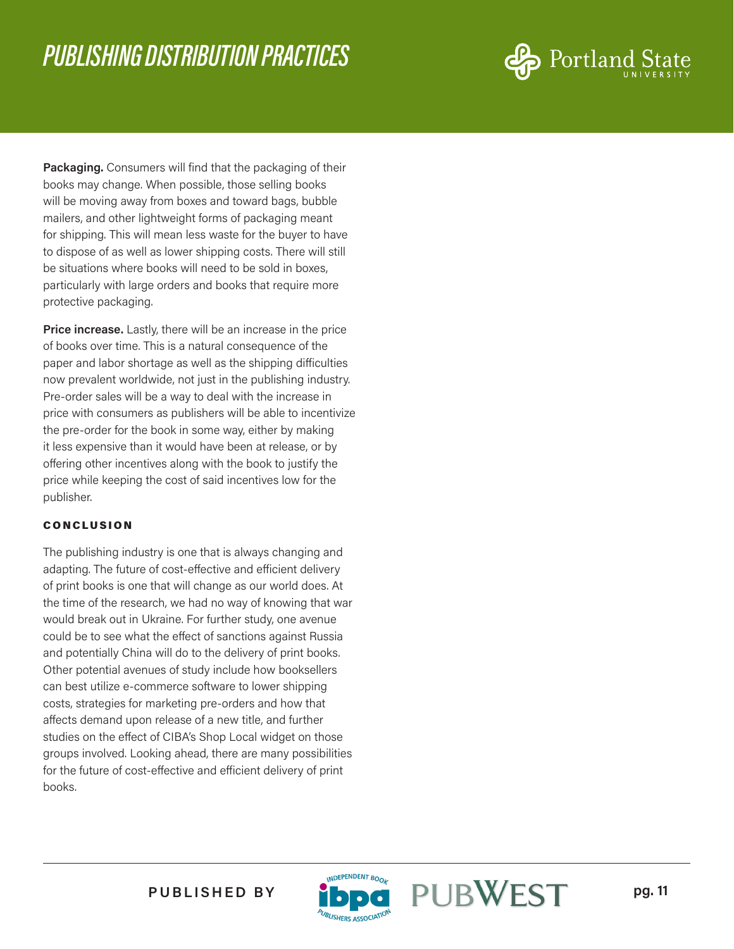

**Packaging.** Consumers will find that the packaging of their books may change. When possible, those selling books will be moving away from boxes and toward bags, bubble mailers, and other lightweight forms of packaging meant for shipping. This will mean less waste for the buyer to have to dispose of as well as lower shipping costs. There will still be situations where books will need to be sold in boxes, particularly with large orders and books that require more protective packaging.

**Price increase.** Lastly, there will be an increase in the price of books over time. This is a natural consequence of the paper and labor shortage as well as the shipping difficulties now prevalent worldwide, not just in the publishing industry. Pre-order sales will be a way to deal with the increase in price with consumers as publishers will be able to incentivize the pre-order for the book in some way, either by making it less expensive than it would have been at release, or by offering other incentives along with the book to justify the price while keeping the cost of said incentives low for the publisher.

#### CONCLUSION

The publishing industry is one that is always changing and adapting. The future of cost-effective and efficient delivery of print books is one that will change as our world does. At the time of the research, we had no way of knowing that war would break out in Ukraine. For further study, one avenue could be to see what the effect of sanctions against Russia and potentially China will do to the delivery of print books. Other potential avenues of study include how booksellers can best utilize e-commerce software to lower shipping costs, strategies for marketing pre-orders and how that affects demand upon release of a new title, and further studies on the effect of CIBA's Shop Local widget on those groups involved. Looking ahead, there are many possibilities for the future of cost-effective and efficient delivery of print books.



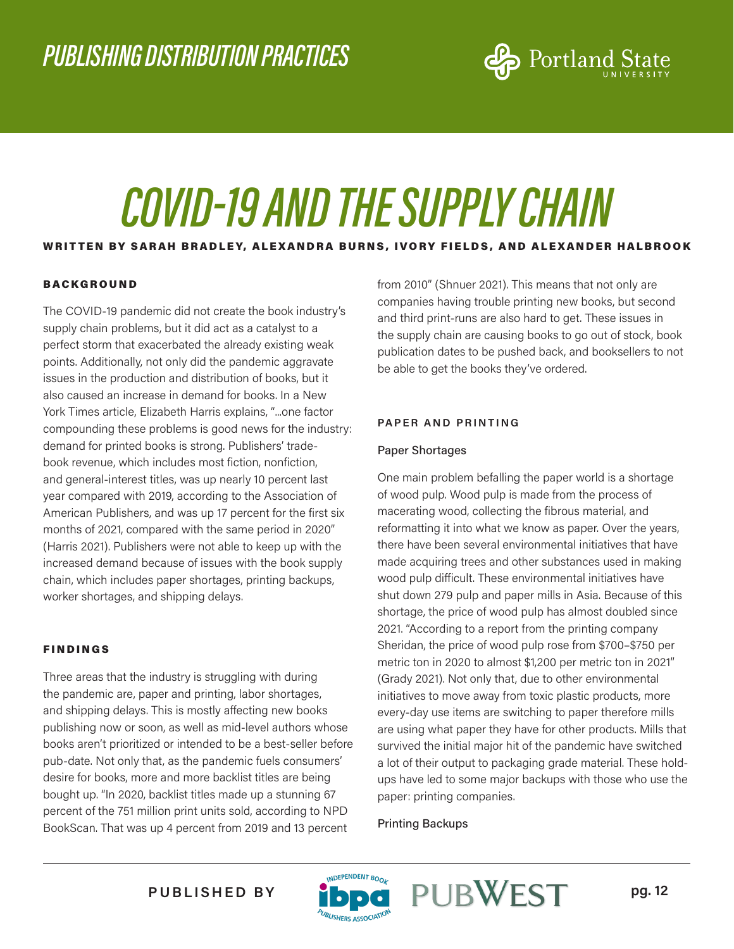

## *COVID-19 AND THE SUPPLY CHAIN*

#### WRITTEN BY SARAH BRADLEY, ALEXANDRA BURNS, IVORY FIELDS, AND ALEXANDER HALBROOK

#### BACKGROUND

The COVID-19 pandemic did not create the book industry's supply chain problems, but it did act as a catalyst to a perfect storm that exacerbated the already existing weak points. Additionally, not only did the pandemic aggravate issues in the production and distribution of books, but it also caused an increase in demand for books. In a New York Times article, Elizabeth Harris explains, "...one factor compounding these problems is good news for the industry: demand for printed books is strong. Publishers' tradebook revenue, which includes most fiction, nonfiction, and general-interest titles, was up nearly 10 percent last year compared with 2019, according to the Association of American Publishers, and was up 17 percent for the first six months of 2021, compared with the same period in 2020" (Harris 2021). Publishers were not able to keep up with the increased demand because of issues with the book supply chain, which includes paper shortages, printing backups, worker shortages, and shipping delays.

#### FINDINGS

Three areas that the industry is struggling with during the pandemic are, paper and printing, labor shortages, and shipping delays. This is mostly affecting new books publishing now or soon, as well as mid-level authors whose books aren't prioritized or intended to be a best-seller before pub-date. Not only that, as the pandemic fuels consumers' desire for books, more and more backlist titles are being bought up. "In 2020, backlist titles made up a stunning 67 percent of the 751 million print units sold, according to NPD BookScan. That was up 4 percent from 2019 and 13 percent

from 2010" (Shnuer 2021). This means that not only are companies having trouble printing new books, but second and third print-runs are also hard to get. These issues in the supply chain are causing books to go out of stock, book publication dates to be pushed back, and booksellers to not be able to get the books they've ordered.

#### **PAPER AND PRINTING**

#### Paper Shortages

One main problem befalling the paper world is a shortage of wood pulp. Wood pulp is made from the process of macerating wood, collecting the fibrous material, and reformatting it into what we know as paper. Over the years, there have been several environmental initiatives that have made acquiring trees and other substances used in making wood pulp difficult. These environmental initiatives have shut down 279 pulp and paper mills in Asia. Because of this shortage, the price of wood pulp has almost doubled since 2021. "According to a report from the printing company Sheridan, the price of wood pulp rose from \$700–\$750 per metric ton in 2020 to almost \$1,200 per metric ton in 2021" (Grady 2021). Not only that, due to other environmental initiatives to move away from toxic plastic products, more every-day use items are switching to paper therefore mills are using what paper they have for other products. Mills that survived the initial major hit of the pandemic have switched a lot of their output to packaging grade material. These holdups have led to some major backups with those who use the paper: printing companies.

Printing Backups

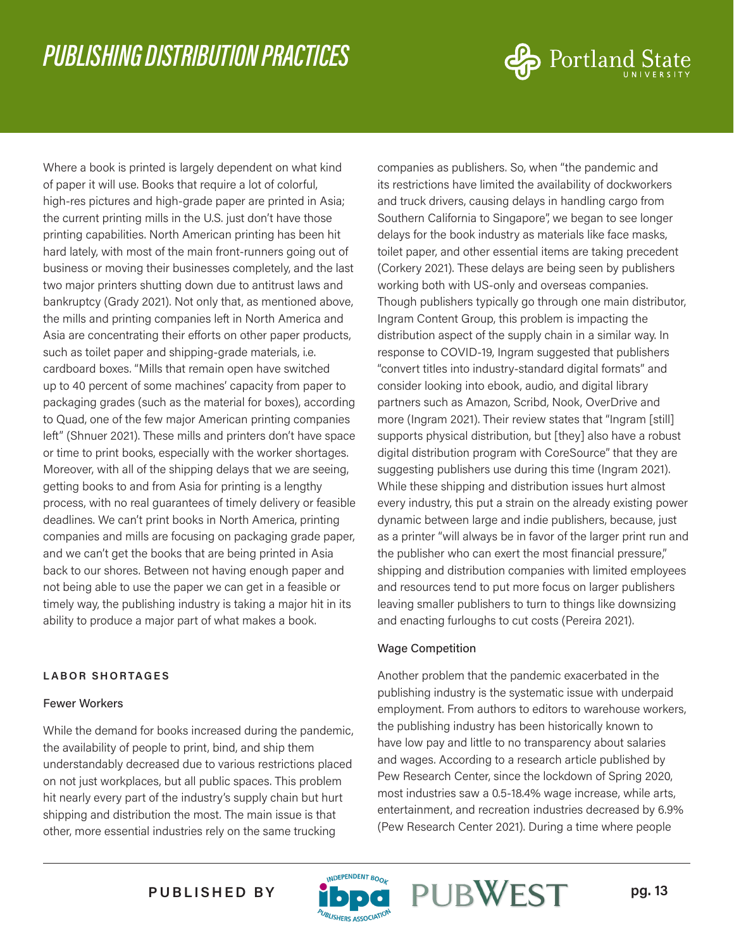

Where a book is printed is largely dependent on what kind of paper it will use. Books that require a lot of colorful, high-res pictures and high-grade paper are printed in Asia; the current printing mills in the U.S. just don't have those printing capabilities. North American printing has been hit hard lately, with most of the main front-runners going out of business or moving their businesses completely, and the last two major printers shutting down due to antitrust laws and bankruptcy (Grady 2021). Not only that, as mentioned above, the mills and printing companies left in North America and Asia are concentrating their efforts on other paper products, such as toilet paper and shipping-grade materials, i.e. cardboard boxes. "Mills that remain open have switched up to 40 percent of some machines' capacity from paper to packaging grades (such as the material for boxes), according to Quad, one of the few major American printing companies left" (Shnuer 2021). These mills and printers don't have space or time to print books, especially with the worker shortages. Moreover, with all of the shipping delays that we are seeing, getting books to and from Asia for printing is a lengthy process, with no real guarantees of timely delivery or feasible deadlines. We can't print books in North America, printing companies and mills are focusing on packaging grade paper, and we can't get the books that are being printed in Asia back to our shores. Between not having enough paper and not being able to use the paper we can get in a feasible or timely way, the publishing industry is taking a major hit in its ability to produce a major part of what makes a book.

#### **LABOR SHORTAGES**

#### Fewer Workers

While the demand for books increased during the pandemic, the availability of people to print, bind, and ship them understandably decreased due to various restrictions placed on not just workplaces, but all public spaces. This problem hit nearly every part of the industry's supply chain but hurt shipping and distribution the most. The main issue is that other, more essential industries rely on the same trucking

companies as publishers. So, when "the pandemic and its restrictions have limited the availability of dockworkers and truck drivers, causing delays in handling cargo from Southern California to Singapore", we began to see longer delays for the book industry as materials like face masks, toilet paper, and other essential items are taking precedent (Corkery 2021). These delays are being seen by publishers working both with US-only and overseas companies. Though publishers typically go through one main distributor, Ingram Content Group, this problem is impacting the distribution aspect of the supply chain in a similar way. In response to COVID-19, Ingram suggested that publishers "convert titles into industry-standard digital formats" and consider looking into ebook, audio, and digital library partners such as Amazon, Scribd, Nook, OverDrive and more (Ingram 2021). Their review states that "Ingram [still] supports physical distribution, but [they] also have a robust digital distribution program with CoreSource" that they are suggesting publishers use during this time (Ingram 2021). While these shipping and distribution issues hurt almost every industry, this put a strain on the already existing power dynamic between large and indie publishers, because, just as a printer "will always be in favor of the larger print run and the publisher who can exert the most financial pressure," shipping and distribution companies with limited employees and resources tend to put more focus on larger publishers leaving smaller publishers to turn to things like downsizing and enacting furloughs to cut costs (Pereira 2021).

#### Wage Competition

Another problem that the pandemic exacerbated in the publishing industry is the systematic issue with underpaid employment. From authors to editors to warehouse workers, the publishing industry has been historically known to have low pay and little to no transparency about salaries and wages. According to a research article published by Pew Research Center, since the lockdown of Spring 2020, most industries saw a 0.5-18.4% wage increase, while arts, entertainment, and recreation industries decreased by 6.9% (Pew Research Center 2021). During a time where people



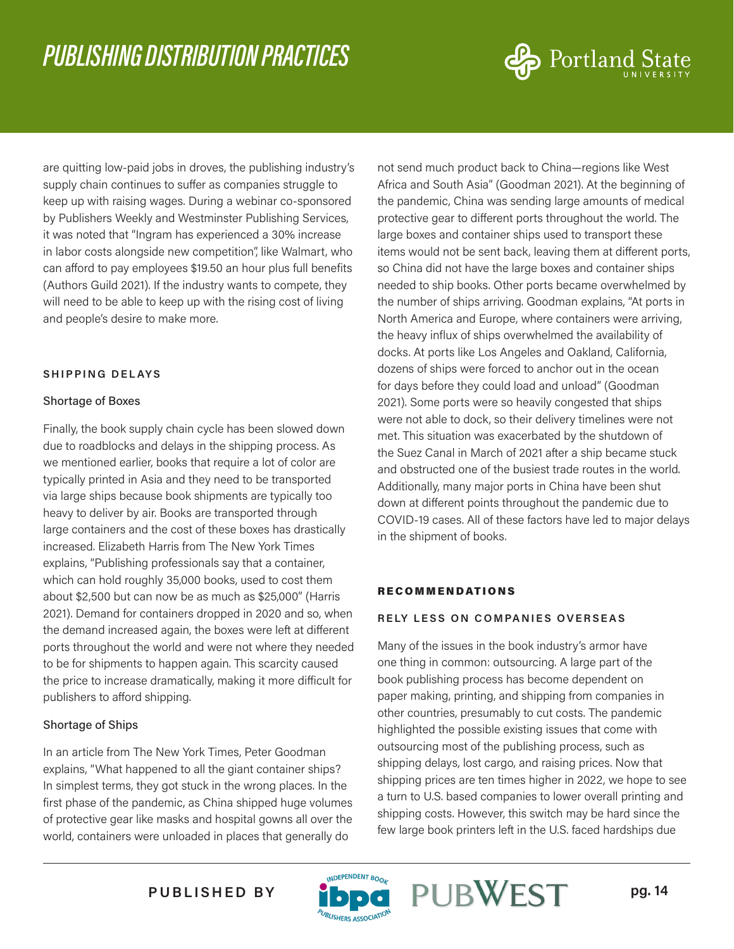

are quitting low-paid jobs in droves, the publishing industry's supply chain continues to suffer as companies struggle to keep up with raising wages. During a webinar co-sponsored by Publishers Weekly and Westminster Publishing Services, it was noted that "Ingram has experienced a 30% increase in labor costs alongside new competition", like Walmart, who can afford to pay employees \$19.50 an hour plus full benefits (Authors Guild 2021). If the industry wants to compete, they will need to be able to keep up with the rising cost of living and people's desire to make more.

#### **SHIPPING DELAYS**

#### Shortage of Boxes

Finally, the book supply chain cycle has been slowed down due to roadblocks and delays in the shipping process. As we mentioned earlier, books that require a lot of color are typically printed in Asia and they need to be transported via large ships because book shipments are typically too heavy to deliver by air. Books are transported through large containers and the cost of these boxes has drastically increased. Elizabeth Harris from The New York Times explains, "Publishing professionals say that a container, which can hold roughly 35,000 books, used to cost them about \$2,500 but can now be as much as \$25,000" (Harris 2021). Demand for containers dropped in 2020 and so, when the demand increased again, the boxes were left at different ports throughout the world and were not where they needed to be for shipments to happen again. This scarcity caused the price to increase dramatically, making it more difficult for publishers to afford shipping.

#### Shortage of Ships

In an article from The New York Times, Peter Goodman explains, "What happened to all the giant container ships? In simplest terms, they got stuck in the wrong places. In the first phase of the pandemic, as China shipped huge volumes of protective gear like masks and hospital gowns all over the world, containers were unloaded in places that generally do

not send much product back to China—regions like West Africa and South Asia" (Goodman 2021). At the beginning of the pandemic, China was sending large amounts of medical protective gear to different ports throughout the world. The large boxes and container ships used to transport these items would not be sent back, leaving them at different ports, so China did not have the large boxes and container ships needed to ship books. Other ports became overwhelmed by the number of ships arriving. Goodman explains, "At ports in North America and Europe, where containers were arriving, the heavy influx of ships overwhelmed the availability of docks. At ports like Los Angeles and Oakland, California, dozens of ships were forced to anchor out in the ocean for days before they could load and unload" (Goodman 2021). Some ports were so heavily congested that ships were not able to dock, so their delivery timelines were not met. This situation was exacerbated by the shutdown of the Suez Canal in March of 2021 after a ship became stuck and obstructed one of the busiest trade routes in the world. Additionally, many major ports in China have been shut down at different points throughout the pandemic due to COVID-19 cases. All of these factors have led to major delays in the shipment of books.

#### RECOMMENDATIONS

#### **RELY LESS ON COMPANIES OVERSEAS**

Many of the issues in the book industry's armor have one thing in common: outsourcing. A large part of the book publishing process has become dependent on paper making, printing, and shipping from companies in other countries, presumably to cut costs. The pandemic highlighted the possible existing issues that come with outsourcing most of the publishing process, such as shipping delays, lost cargo, and raising prices. Now that shipping prices are ten times higher in 2022, we hope to see a turn to U.S. based companies to lower overall printing and shipping costs. However, this switch may be hard since the few large book printers left in the U.S. faced hardships due

PUBLISHED BY **ibna** PUBWEST pg. 14

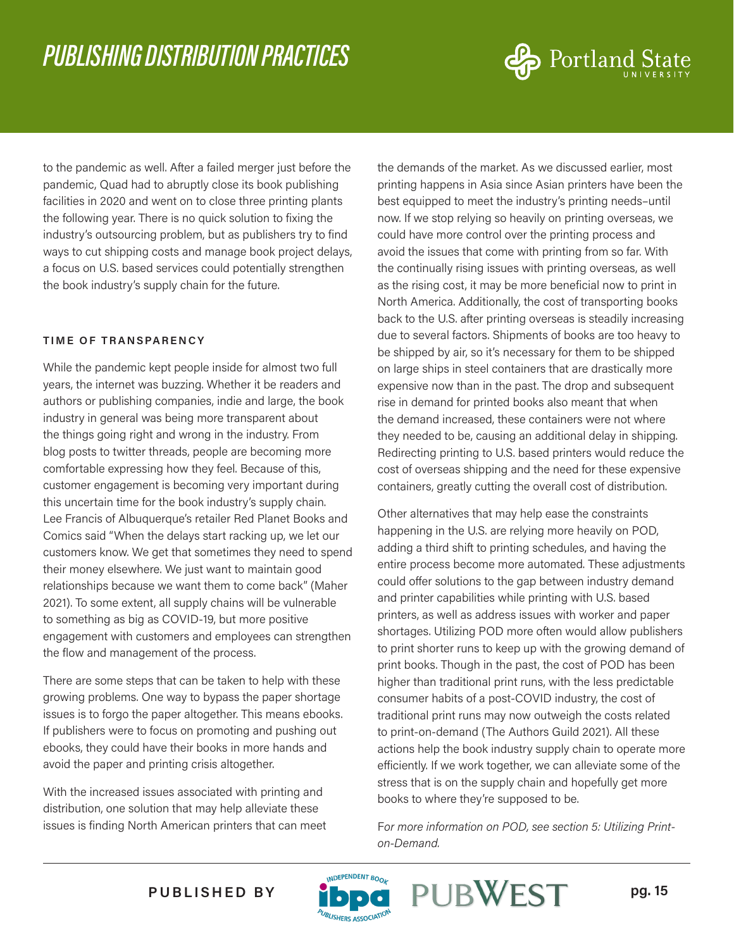

to the pandemic as well. After a failed merger just before the pandemic, Quad had to abruptly close its book publishing facilities in 2020 and went on to close three printing plants the following year. There is no quick solution to fixing the industry's outsourcing problem, but as publishers try to find ways to cut shipping costs and manage book project delays, a focus on U.S. based services could potentially strengthen the book industry's supply chain for the future.

#### **TIME OF TRANSPARENCY**

While the pandemic kept people inside for almost two full years, the internet was buzzing. Whether it be readers and authors or publishing companies, indie and large, the book industry in general was being more transparent about the things going right and wrong in the industry. From blog posts to twitter threads, people are becoming more comfortable expressing how they feel. Because of this, customer engagement is becoming very important during this uncertain time for the book industry's supply chain. Lee Francis of Albuquerque's retailer Red Planet Books and Comics said "When the delays start racking up, we let our customers know. We get that sometimes they need to spend their money elsewhere. We just want to maintain good relationships because we want them to come back" (Maher 2021). To some extent, all supply chains will be vulnerable to something as big as COVID-19, but more positive engagement with customers and employees can strengthen the flow and management of the process.

There are some steps that can be taken to help with these growing problems. One way to bypass the paper shortage issues is to forgo the paper altogether. This means ebooks. If publishers were to focus on promoting and pushing out ebooks, they could have their books in more hands and avoid the paper and printing crisis altogether.

With the increased issues associated with printing and distribution, one solution that may help alleviate these issues is finding North American printers that can meet the demands of the market. As we discussed earlier, most printing happens in Asia since Asian printers have been the best equipped to meet the industry's printing needs–until now. If we stop relying so heavily on printing overseas, we could have more control over the printing process and avoid the issues that come with printing from so far. With the continually rising issues with printing overseas, as well as the rising cost, it may be more beneficial now to print in North America. Additionally, the cost of transporting books back to the U.S. after printing overseas is steadily increasing due to several factors. Shipments of books are too heavy to be shipped by air, so it's necessary for them to be shipped on large ships in steel containers that are drastically more expensive now than in the past. The drop and subsequent rise in demand for printed books also meant that when the demand increased, these containers were not where they needed to be, causing an additional delay in shipping. Redirecting printing to U.S. based printers would reduce the cost of overseas shipping and the need for these expensive containers, greatly cutting the overall cost of distribution.

Other alternatives that may help ease the constraints happening in the U.S. are relying more heavily on POD, adding a third shift to printing schedules, and having the entire process become more automated. These adjustments could offer solutions to the gap between industry demand and printer capabilities while printing with U.S. based printers, as well as address issues with worker and paper shortages. Utilizing POD more often would allow publishers to print shorter runs to keep up with the growing demand of print books. Though in the past, the cost of POD has been higher than traditional print runs, with the less predictable consumer habits of a post-COVID industry, the cost of traditional print runs may now outweigh the costs related to print-on-demand (The Authors Guild 2021). All these actions help the book industry supply chain to operate more efficiently. If we work together, we can alleviate some of the stress that is on the supply chain and hopefully get more books to where they're supposed to be.

F*or more information on POD, see section 5: Utilizing Printon-Demand.*



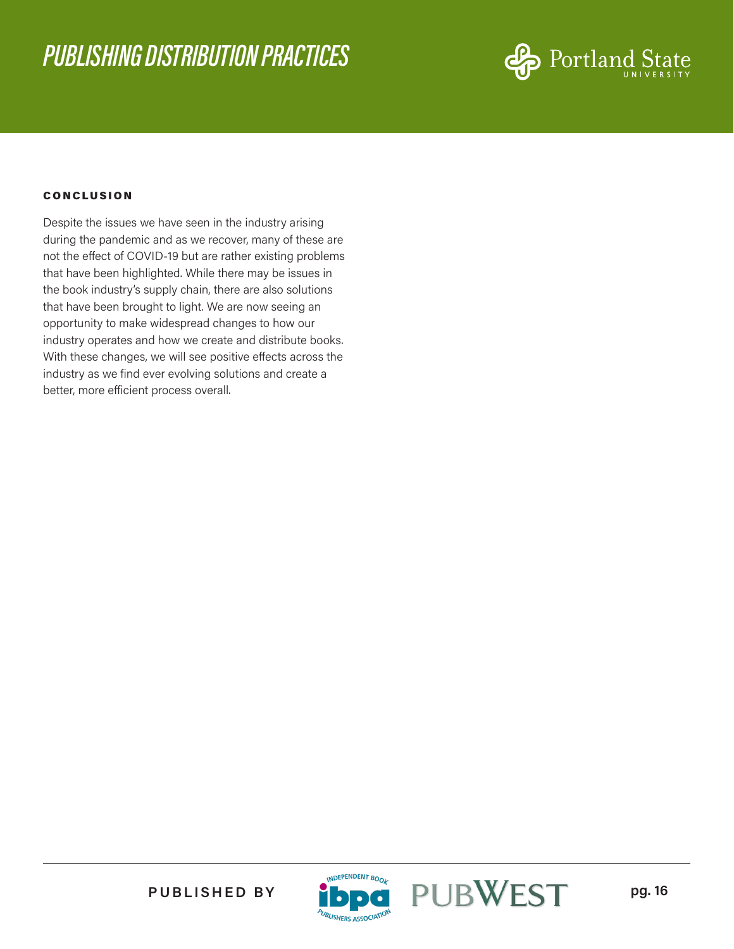

#### **CONCLUSION**

Despite the issues we have seen in the industry arising during the pandemic and as we recover, many of these are not the effect of COVID-19 but are rather existing problems that have been highlighted. While there may be issues in the book industry's supply chain, there are also solutions that have been brought to light. We are now seeing an opportunity to make widespread changes to how our industry operates and how we create and distribute books. With these changes, we will see positive effects across the industry as we find ever evolving solutions and create a better, more efficient process overall.



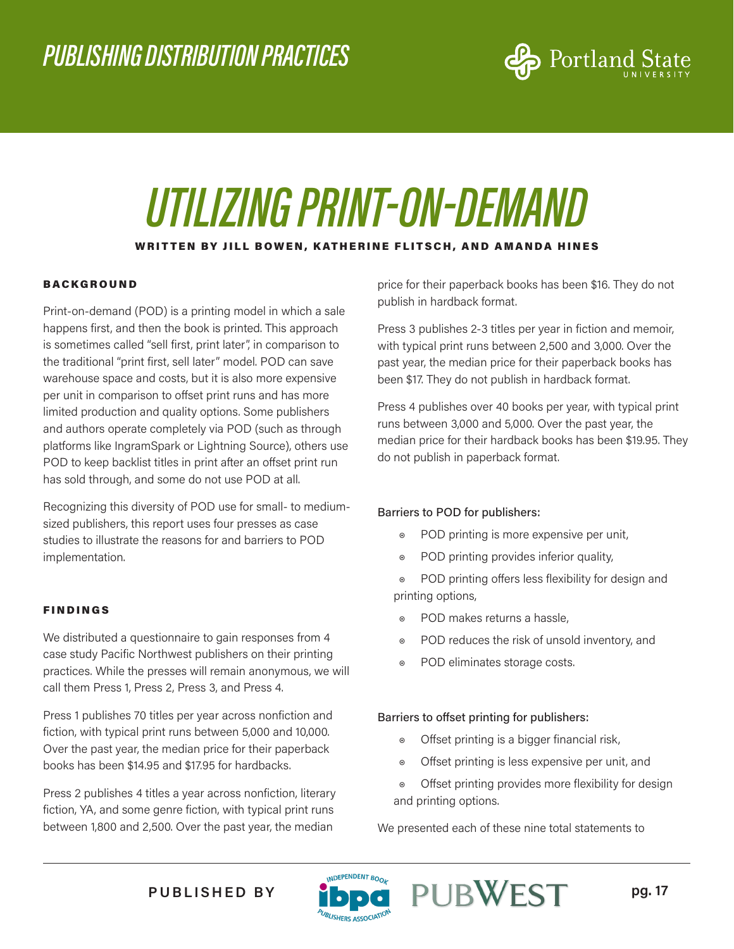

# *UTILIZING PRINT-ON-DEMAND*

#### WRITTEN BY JILL BOWEN, KATHERINE FLITSCH, AND AMANDA HINES

#### BACKGROUND

Print-on-demand (POD) is a printing model in which a sale happens first, and then the book is printed. This approach is sometimes called "sell first, print later", in comparison to the traditional "print first, sell later" model. POD can save warehouse space and costs, but it is also more expensive per unit in comparison to offset print runs and has more limited production and quality options. Some publishers and authors operate completely via POD (such as through platforms like IngramSpark or Lightning Source), others use POD to keep backlist titles in print after an offset print run has sold through, and some do not use POD at all.

Recognizing this diversity of POD use for small- to mediumsized publishers, this report uses four presses as case studies to illustrate the reasons for and barriers to POD implementation.

#### FINDINGS

We distributed a questionnaire to gain responses from 4 case study Pacific Northwest publishers on their printing practices. While the presses will remain anonymous, we will call them Press 1, Press 2, Press 3, and Press 4.

Press 1 publishes 70 titles per year across nonfiction and fiction, with typical print runs between 5,000 and 10,000. Over the past year, the median price for their paperback books has been \$14.95 and \$17.95 for hardbacks.

Press 2 publishes 4 titles a year across nonfiction, literary fiction, YA, and some genre fiction, with typical print runs between 1,800 and 2,500. Over the past year, the median

price for their paperback books has been \$16. They do not publish in hardback format.

Press 3 publishes 2-3 titles per year in fiction and memoir, with typical print runs between 2,500 and 3,000. Over the past year, the median price for their paperback books has been \$17. They do not publish in hardback format.

Press 4 publishes over 40 books per year, with typical print runs between 3,000 and 5,000. Over the past year, the median price for their hardback books has been \$19.95. They do not publish in paperback format.

#### Barriers to POD for publishers:

- ◉ POD printing is more expensive per unit,
- ◉ POD printing provides inferior quality,
- ◉ POD printing offers less flexibility for design and printing options,
- ◉ POD makes returns a hassle,
- ◉ POD reduces the risk of unsold inventory, and
- ◉ POD eliminates storage costs.

#### Barriers to offset printing for publishers:

- ◉ Offset printing is a bigger financial risk,
- ◉ Offset printing is less expensive per unit, and
- ◉ Offset printing provides more flexibility for design and printing options.

We presented each of these nine total statements to



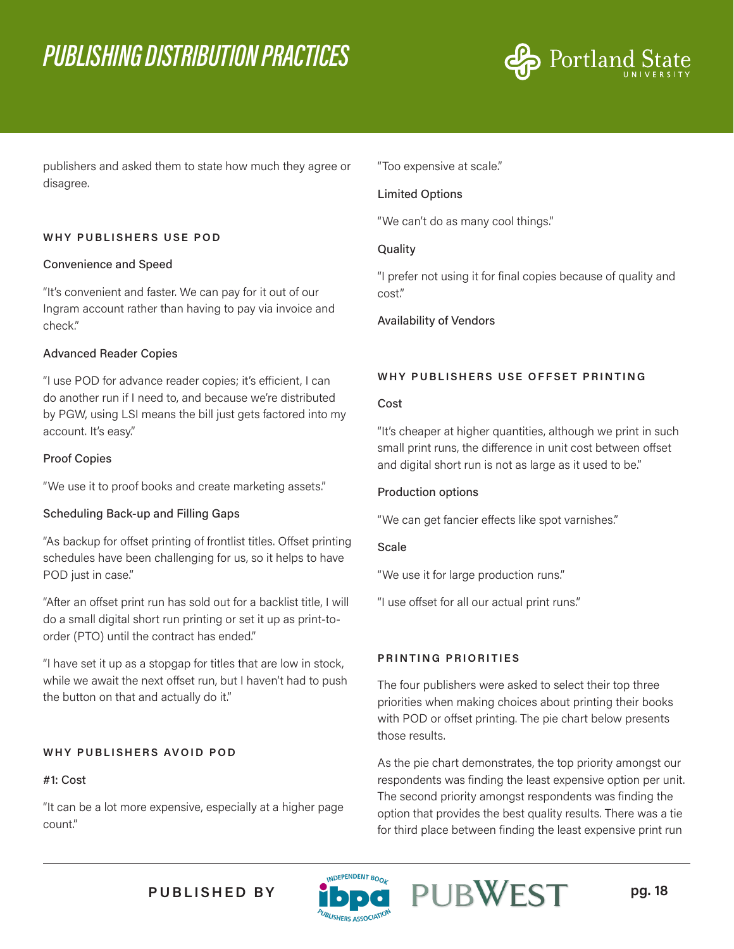

publishers and asked them to state how much they agree or disagree.

#### **WHY PUBLISHERS USE POD**

#### Convenience and Speed

"It's convenient and faster. We can pay for it out of our Ingram account rather than having to pay via invoice and check."

#### Advanced Reader Copies

"I use POD for advance reader copies; it's efficient, I can do another run if I need to, and because we're distributed by PGW, using LSI means the bill just gets factored into my account. It's easy."

#### Proof Copies

"We use it to proof books and create marketing assets."

#### Scheduling Back-up and Filling Gaps

"As backup for offset printing of frontlist titles. Offset printing schedules have been challenging for us, so it helps to have POD just in case."

"After an offset print run has sold out for a backlist title, I will do a small digital short run printing or set it up as print-toorder (PTO) until the contract has ended."

"I have set it up as a stopgap for titles that are low in stock, while we await the next offset run, but I haven't had to push the button on that and actually do it."

#### **WHY PUBLISHERS AVOID POD**

#### #1: Cost

"It can be a lot more expensive, especially at a higher page count."

"Too expensive at scale."

#### Limited Options

"We can't do as many cool things."

#### **Quality**

"I prefer not using it for final copies because of quality and cost."

Availability of Vendors

#### **WHY PUBLISHERS USE OFFSET PRINTING**

#### Cost

"It's cheaper at higher quantities, although we print in such small print runs, the difference in unit cost between offset and digital short run is not as large as it used to be."

#### Production options

"We can get fancier effects like spot varnishes."

#### **Scale**

"We use it for large production runs."

"I use offset for all our actual print runs."

#### **PRINTING PRIORITIES**

The four publishers were asked to select their top three priorities when making choices about printing their books with POD or offset printing. The pie chart below presents those results.

As the pie chart demonstrates, the top priority amongst our respondents was finding the least expensive option per unit. The second priority amongst respondents was finding the option that provides the best quality results. There was a tie for third place between finding the least expensive print run



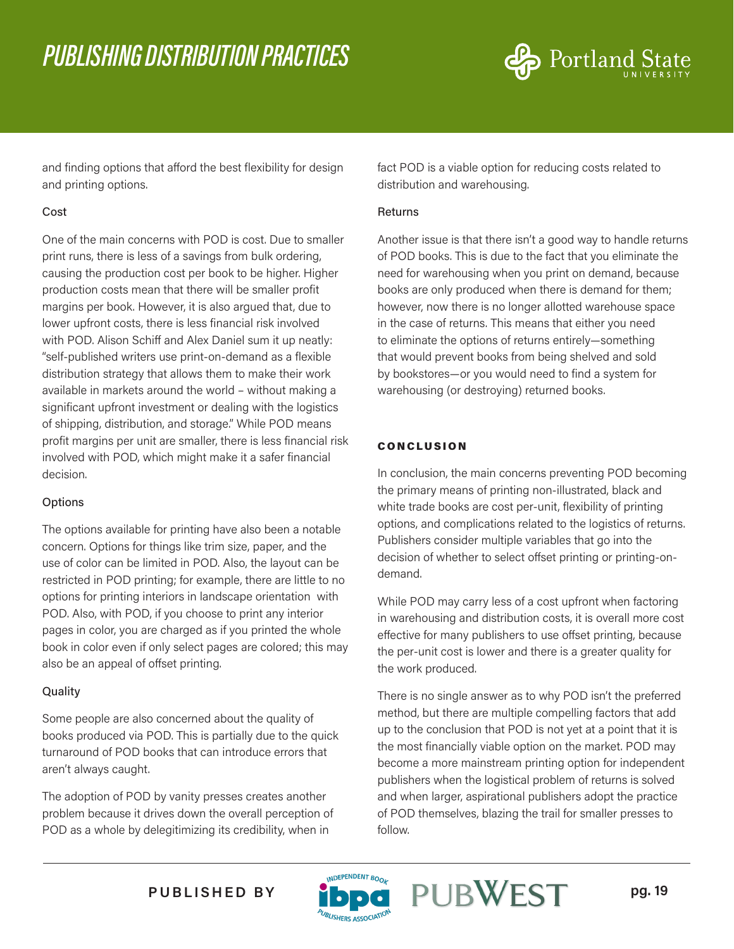

and finding options that afford the best flexibility for design and printing options.

#### Cost

One of the main concerns with POD is cost. Due to smaller print runs, there is less of a savings from bulk ordering, causing the production cost per book to be higher. Higher production costs mean that there will be smaller profit margins per book. However, it is also argued that, due to lower upfront costs, there is less financial risk involved with POD. Alison Schiff and Alex Daniel sum it up neatly: "self-published writers use print-on-demand as a flexible distribution strategy that allows them to make their work available in markets around the world – without making a significant upfront investment or dealing with the logistics of shipping, distribution, and storage." While POD means profit margins per unit are smaller, there is less financial risk involved with POD, which might make it a safer financial decision.

#### **Options**

The options available for printing have also been a notable concern. Options for things like trim size, paper, and the use of color can be limited in POD. Also, the layout can be restricted in POD printing; for example, there are little to no options for printing interiors in landscape orientation with POD. Also, with POD, if you choose to print any interior pages in color, you are charged as if you printed the whole book in color even if only select pages are colored; this may also be an appeal of offset printing.

#### **Quality**

Some people are also concerned about the quality of books produced via POD. This is partially due to the quick turnaround of POD books that can introduce errors that aren't always caught.

The adoption of POD by vanity presses creates another problem because it drives down the overall perception of POD as a whole by delegitimizing its credibility, when in

fact POD is a viable option for reducing costs related to distribution and warehousing.

#### Returns

Another issue is that there isn't a good way to handle returns of POD books. This is due to the fact that you eliminate the need for warehousing when you print on demand, because books are only produced when there is demand for them; however, now there is no longer allotted warehouse space in the case of returns. This means that either you need to eliminate the options of returns entirely—something that would prevent books from being shelved and sold by bookstores—or you would need to find a system for warehousing (or destroying) returned books.

#### CONCLUSION

In conclusion, the main concerns preventing POD becoming the primary means of printing non-illustrated, black and white trade books are cost per-unit, flexibility of printing options, and complications related to the logistics of returns. Publishers consider multiple variables that go into the decision of whether to select offset printing or printing-ondemand.

While POD may carry less of a cost upfront when factoring in warehousing and distribution costs, it is overall more cost effective for many publishers to use offset printing, because the per-unit cost is lower and there is a greater quality for the work produced.

There is no single answer as to why POD isn't the preferred method, but there are multiple compelling factors that add up to the conclusion that POD is not yet at a point that it is the most financially viable option on the market. POD may become a more mainstream printing option for independent publishers when the logistical problem of returns is solved and when larger, aspirational publishers adopt the practice of POD themselves, blazing the trail for smaller presses to follow.

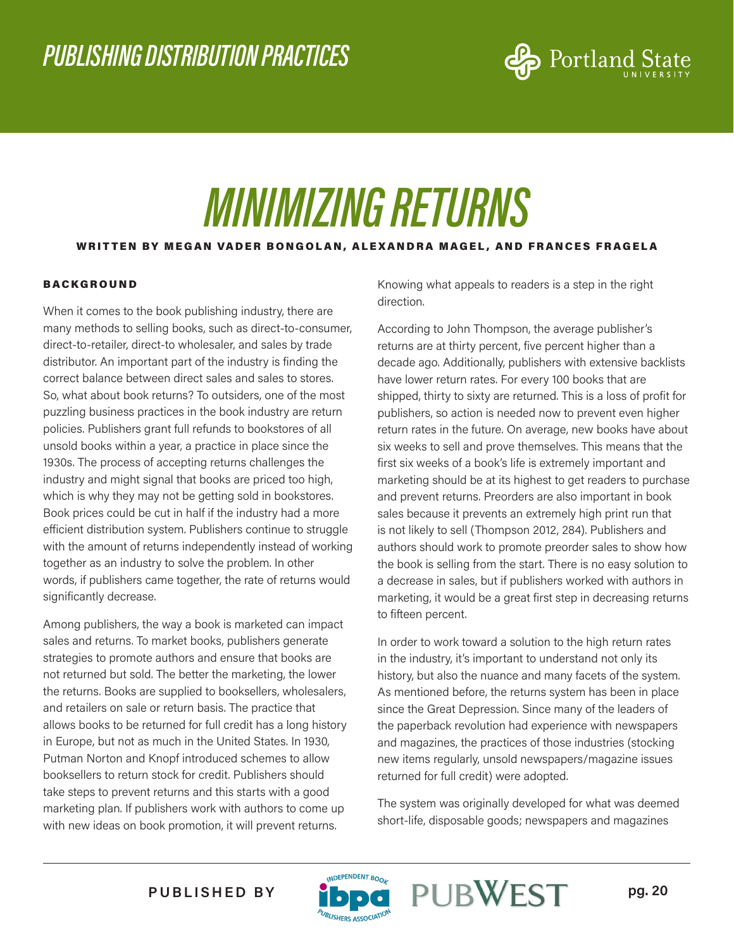

## *MINIMIZING RETURNS*

#### WRITTEN BY MEGAN VADER BONGOLAN, ALEXANDRA MAGEL, AND FRANCES FRAGELA

#### BACKGROUND

When it comes to the book publishing industry, there are many methods to selling books, such as direct-to-consumer, direct-to-retailer, direct-to wholesaler, and sales by trade distributor. An important part of the industry is finding the correct balance between direct sales and sales to stores. So, what about book returns? To outsiders, one of the most puzzling business practices in the book industry are return policies. Publishers grant full refunds to bookstores of all unsold books within a year, a practice in place since the 1930s. The process of accepting returns challenges the industry and might signal that books are priced too high, which is why they may not be getting sold in bookstores. Book prices could be cut in half if the industry had a more efficient distribution system. Publishers continue to struggle with the amount of returns independently instead of working together as an industry to solve the problem. In other words, if publishers came together, the rate of returns would significantly decrease.

Among publishers, the way a book is marketed can impact sales and returns. To market books, publishers generate strategies to promote authors and ensure that books are not returned but sold. The better the marketing, the lower the returns. Books are supplied to booksellers, wholesalers, and retailers on sale or return basis. The practice that allows books to be returned for full credit has a long history in Europe, but not as much in the United States. In 1930, Putman Norton and Knopf introduced schemes to allow booksellers to return stock for credit. Publishers should take steps to prevent returns and this starts with a good marketing plan. If publishers work with authors to come up with new ideas on book promotion, it will prevent returns.

Knowing what appeals to readers is a step in the right direction.

According to John Thompson, the average publisher's returns are at thirty percent, five percent higher than a decade ago. Additionally, publishers with extensive backlists have lower return rates. For every 100 books that are shipped, thirty to sixty are returned. This is a loss of profit for publishers, so action is needed now to prevent even higher return rates in the future. On average, new books have about six weeks to sell and prove themselves. This means that the first six weeks of a book's life is extremely important and marketing should be at its highest to get readers to purchase and prevent returns. Preorders are also important in book sales because it prevents an extremely high print run that is not likely to sell (Thompson 2012, 284). Publishers and authors should work to promote preorder sales to show how the book is selling from the start. There is no easy solution to a decrease in sales, but if publishers worked with authors in marketing, it would be a great first step in decreasing returns to fifteen percent.

In order to work toward a solution to the high return rates in the industry, it's important to understand not only its history, but also the nuance and many facets of the system. As mentioned before, the returns system has been in place since the Great Depression. Since many of the leaders of the paperback revolution had experience with newspapers and magazines, the practices of those industries (stocking new items regularly, unsold newspapers/magazine issues returned for full credit) were adopted.

The system was originally developed for what was deemed short-life, disposable goods; newspapers and magazines

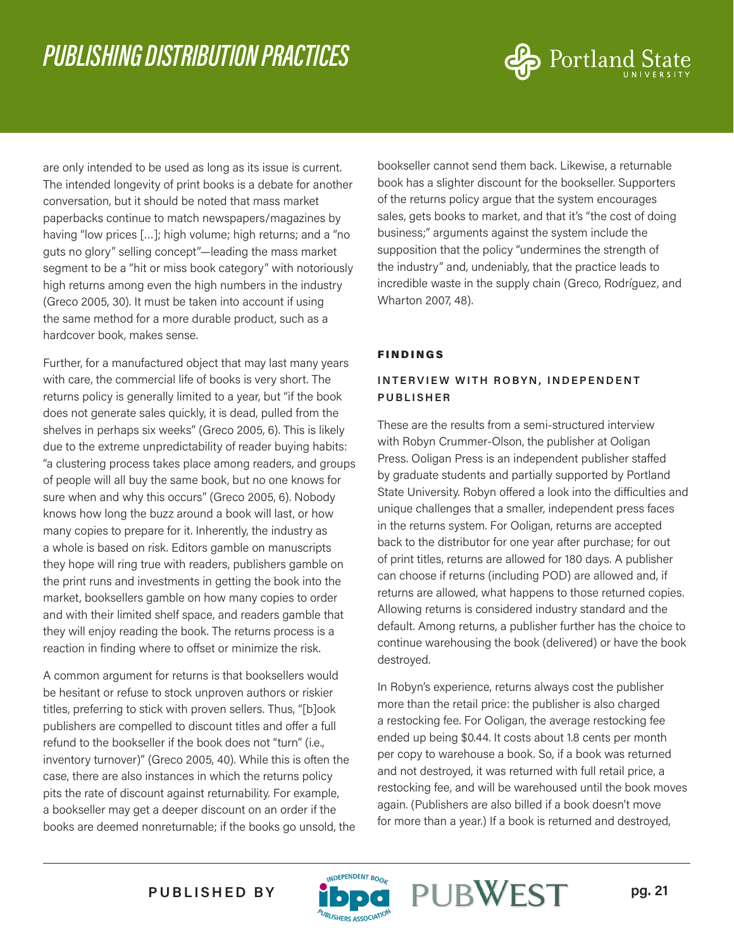

are only intended to be used as long as its issue is current. The intended longevity of print books is a debate for another conversation, but it should be noted that mass market paperbacks continue to match newspapers/magazines by having "low prices [...]; high volume; high returns; and a "no guts no glory" selling concept"—leading the mass market segment to be a "hit or miss book category" with notoriously high returns among even the high numbers in the industry (Greco 2005, 30). It must be taken into account if using the same method for a more durable product, such as a hardcover book, makes sense.

Further, for a manufactured object that may last many years with care, the commercial life of books is very short. The returns policy is generally limited to a year, but "if the book does not generate sales quickly, it is dead, pulled from the shelves in perhaps six weeks" (Greco 2005, 6). This is likely due to the extreme unpredictability of reader buying habits: "a clustering process takes place among readers, and groups of people will all buy the same book, but no one knows for sure when and why this occurs" (Greco 2005, 6). Nobody knows how long the buzz around a book will last, or how many copies to prepare for it. Inherently, the industry as a whole is based on risk. Editors gamble on manuscripts they hope will ring true with readers, publishers gamble on the print runs and investments in getting the book into the market, booksellers gamble on how many copies to order and with their limited shelf space, and readers gamble that they will enjoy reading the book. The returns process is a reaction in finding where to offset or minimize the risk.

A common argument for returns is that booksellers would be hesitant or refuse to stock unproven authors or riskier titles, preferring to stick with proven sellers. Thus, "[b]ook publishers are compelled to discount titles and offer a full refund to the bookseller if the book does not "turn" (i.e., inventory turnover)" (Greco 2005, 40). While this is often the case, there are also instances in which the returns policy pits the rate of discount against returnability. For example, a bookseller may get a deeper discount on an order if the books are deemed nonreturnable; if the books go unsold, the bookseller cannot send them back. Likewise, a returnable book has a slighter discount for the bookseller. Supporters of the returns policy argue that the system encourages sales, gets books to market, and that it's "the cost of doing business;" arguments against the system include the supposition that the policy "undermines the strength of the industry" and, undeniably, that the practice leads to incredible waste in the supply chain (Greco, Rodríguez, and Wharton 2007, 48).

#### FINDINGS

#### **INTERVIEW WITH ROBYN, INDEPENDENT PUBLISHER**

These are the results from a semi-structured interview with Robyn Crummer-Olson, the publisher at Ooligan Press. Ooligan Press is an independent publisher staffed by graduate students and partially supported by Portland State University. Robyn offered a look into the difficulties and unique challenges that a smaller, independent press faces in the returns system. For Ooligan, returns are accepted back to the distributor for one year after purchase; for out of print titles, returns are allowed for 180 days. A publisher can choose if returns (including POD) are allowed and, if returns are allowed, what happens to those returned copies. Allowing returns is considered industry standard and the default. Among returns, a publisher further has the choice to continue warehousing the book (delivered) or have the book destroyed.

In Robyn's experience, returns always cost the publisher more than the retail price: the publisher is also charged a restocking fee. For Ooligan, the average restocking fee ended up being \$0.44. It costs about 1.8 cents per month per copy to warehouse a book. So, if a book was returned and not destroyed, it was returned with full retail price, a restocking fee, and will be warehoused until the book moves again. (Publishers are also billed if a book doesn't move for more than a year.) If a book is returned and destroyed,

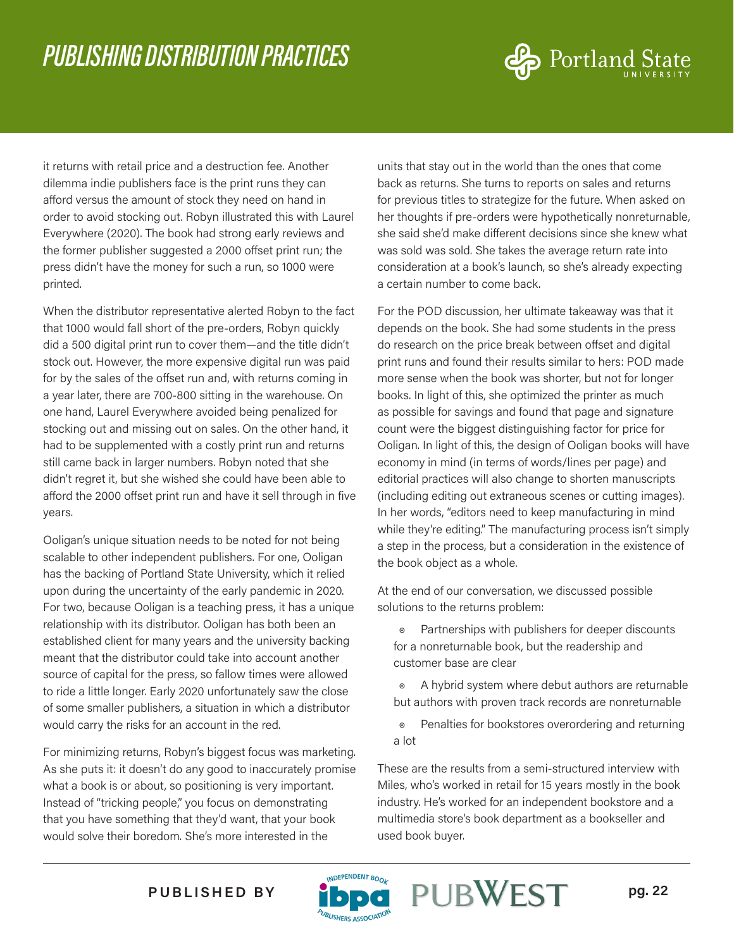

it returns with retail price and a destruction fee. Another dilemma indie publishers face is the print runs they can afford versus the amount of stock they need on hand in order to avoid stocking out. Robyn illustrated this with Laurel Everywhere (2020). The book had strong early reviews and the former publisher suggested a 2000 offset print run; the press didn't have the money for such a run, so 1000 were printed.

When the distributor representative alerted Robyn to the fact that 1000 would fall short of the pre-orders, Robyn quickly did a 500 digital print run to cover them—and the title didn't stock out. However, the more expensive digital run was paid for by the sales of the offset run and, with returns coming in a year later, there are 700-800 sitting in the warehouse. On one hand, Laurel Everywhere avoided being penalized for stocking out and missing out on sales. On the other hand, it had to be supplemented with a costly print run and returns still came back in larger numbers. Robyn noted that she didn't regret it, but she wished she could have been able to afford the 2000 offset print run and have it sell through in five years.

Ooligan's unique situation needs to be noted for not being scalable to other independent publishers. For one, Ooligan has the backing of Portland State University, which it relied upon during the uncertainty of the early pandemic in 2020. For two, because Ooligan is a teaching press, it has a unique relationship with its distributor. Ooligan has both been an established client for many years and the university backing meant that the distributor could take into account another source of capital for the press, so fallow times were allowed to ride a little longer. Early 2020 unfortunately saw the close of some smaller publishers, a situation in which a distributor would carry the risks for an account in the red.

For minimizing returns, Robyn's biggest focus was marketing. As she puts it: it doesn't do any good to inaccurately promise what a book is or about, so positioning is very important. Instead of "tricking people," you focus on demonstrating that you have something that they'd want, that your book would solve their boredom. She's more interested in the

units that stay out in the world than the ones that come back as returns. She turns to reports on sales and returns for previous titles to strategize for the future. When asked on her thoughts if pre-orders were hypothetically nonreturnable, she said she'd make different decisions since she knew what was sold was sold. She takes the average return rate into consideration at a book's launch, so she's already expecting a certain number to come back.

For the POD discussion, her ultimate takeaway was that it depends on the book. She had some students in the press do research on the price break between offset and digital print runs and found their results similar to hers: POD made more sense when the book was shorter, but not for longer books. In light of this, she optimized the printer as much as possible for savings and found that page and signature count were the biggest distinguishing factor for price for Ooligan. In light of this, the design of Ooligan books will have economy in mind (in terms of words/lines per page) and editorial practices will also change to shorten manuscripts (including editing out extraneous scenes or cutting images). In her words, "editors need to keep manufacturing in mind while they're editing." The manufacturing process isn't simply a step in the process, but a consideration in the existence of the book object as a whole.

At the end of our conversation, we discussed possible solutions to the returns problem:

Partnerships with publishers for deeper discounts for a nonreturnable book, but the readership and customer base are clear

◉ A hybrid system where debut authors are returnable but authors with proven track records are nonreturnable

◉ Penalties for bookstores overordering and returning a lot

These are the results from a semi-structured interview with Miles, who's worked in retail for 15 years mostly in the book industry. He's worked for an independent bookstore and a multimedia store's book department as a bookseller and used book buyer.



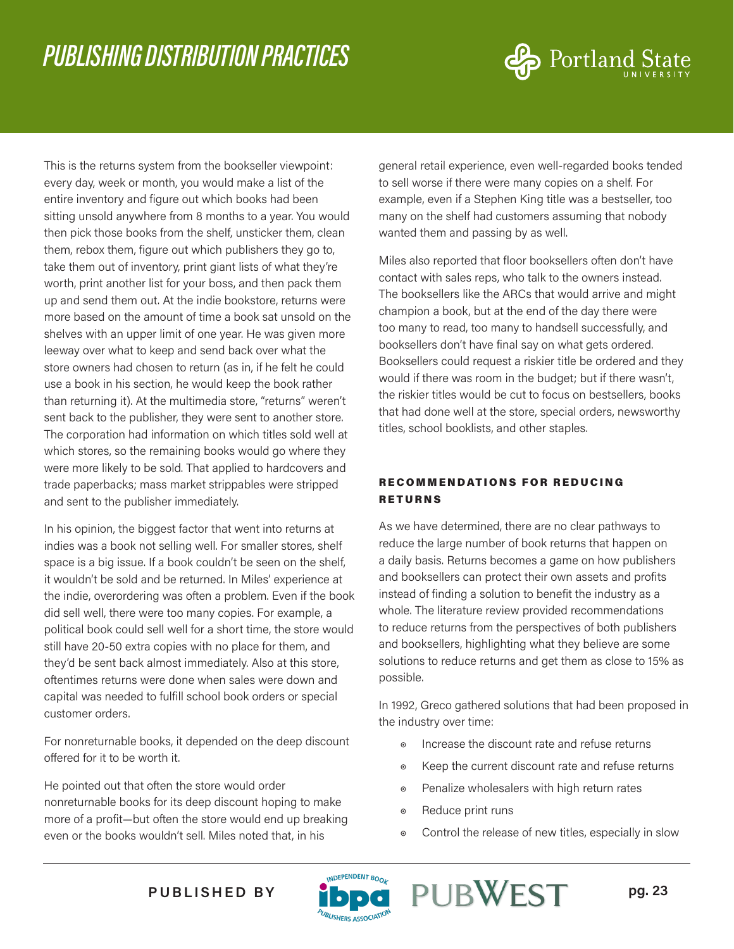

This is the returns system from the bookseller viewpoint: every day, week or month, you would make a list of the entire inventory and figure out which books had been sitting unsold anywhere from 8 months to a year. You would then pick those books from the shelf, unsticker them, clean them, rebox them, figure out which publishers they go to, take them out of inventory, print giant lists of what they're worth, print another list for your boss, and then pack them up and send them out. At the indie bookstore, returns were more based on the amount of time a book sat unsold on the shelves with an upper limit of one year. He was given more leeway over what to keep and send back over what the store owners had chosen to return (as in, if he felt he could use a book in his section, he would keep the book rather than returning it). At the multimedia store, "returns" weren't sent back to the publisher, they were sent to another store. The corporation had information on which titles sold well at which stores, so the remaining books would go where they were more likely to be sold. That applied to hardcovers and trade paperbacks; mass market strippables were stripped and sent to the publisher immediately.

In his opinion, the biggest factor that went into returns at indies was a book not selling well. For smaller stores, shelf space is a big issue. If a book couldn't be seen on the shelf, it wouldn't be sold and be returned. In Miles' experience at the indie, overordering was often a problem. Even if the book did sell well, there were too many copies. For example, a political book could sell well for a short time, the store would still have 20-50 extra copies with no place for them, and they'd be sent back almost immediately. Also at this store, oftentimes returns were done when sales were down and capital was needed to fulfill school book orders or special customer orders.

For nonreturnable books, it depended on the deep discount offered for it to be worth it.

He pointed out that often the store would order nonreturnable books for its deep discount hoping to make more of a profit—but often the store would end up breaking even or the books wouldn't sell. Miles noted that, in his

general retail experience, even well-regarded books tended to sell worse if there were many copies on a shelf. For example, even if a Stephen King title was a bestseller, too many on the shelf had customers assuming that nobody wanted them and passing by as well.

Miles also reported that floor booksellers often don't have contact with sales reps, who talk to the owners instead. The booksellers like the ARCs that would arrive and might champion a book, but at the end of the day there were too many to read, too many to handsell successfully, and booksellers don't have final say on what gets ordered. Booksellers could request a riskier title be ordered and they would if there was room in the budget; but if there wasn't, the riskier titles would be cut to focus on bestsellers, books that had done well at the store, special orders, newsworthy titles, school booklists, and other staples.

#### RECOMMENDATIONS FOR REDUCING RETURNS

As we have determined, there are no clear pathways to reduce the large number of book returns that happen on a daily basis. Returns becomes a game on how publishers and booksellers can protect their own assets and profits instead of finding a solution to benefit the industry as a whole. The literature review provided recommendations to reduce returns from the perspectives of both publishers and booksellers, highlighting what they believe are some solutions to reduce returns and get them as close to 15% as possible.

In 1992, Greco gathered solutions that had been proposed in the industry over time:

- ◉ Increase the discount rate and refuse returns
- ◉ Keep the current discount rate and refuse returns
- ◉ Penalize wholesalers with high return rates
- ◉ Reduce print runs
- ◉ Control the release of new titles, especially in slow

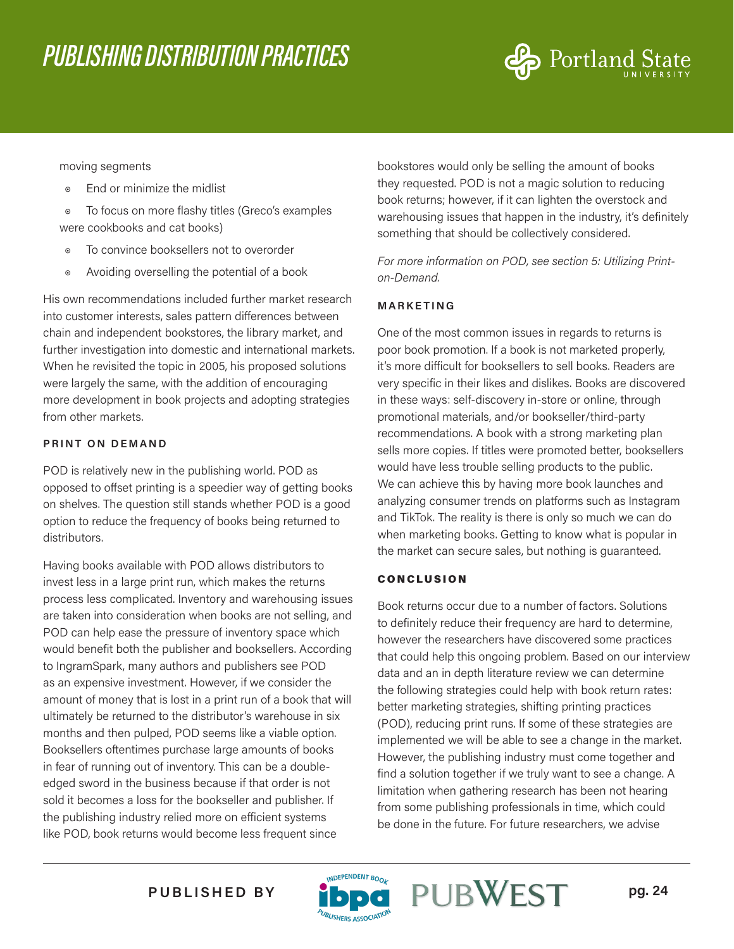

#### moving segments

- ◉ End or minimize the midlist
- ◉ To focus on more flashy titles (Greco's examples were cookbooks and cat books)
- To convince booksellers not to overorder
- ◉ Avoiding overselling the potential of a book

His own recommendations included further market research into customer interests, sales pattern differences between chain and independent bookstores, the library market, and further investigation into domestic and international markets. When he revisited the topic in 2005, his proposed solutions were largely the same, with the addition of encouraging more development in book projects and adopting strategies from other markets.

#### **PRINT ON DEMAND**

POD is relatively new in the publishing world. POD as opposed to offset printing is a speedier way of getting books on shelves. The question still stands whether POD is a good option to reduce the frequency of books being returned to distributors.

Having books available with POD allows distributors to invest less in a large print run, which makes the returns process less complicated. Inventory and warehousing issues are taken into consideration when books are not selling, and POD can help ease the pressure of inventory space which would benefit both the publisher and booksellers. According to IngramSpark, many authors and publishers see POD as an expensive investment. However, if we consider the amount of money that is lost in a print run of a book that will ultimately be returned to the distributor's warehouse in six months and then pulped, POD seems like a viable option. Booksellers oftentimes purchase large amounts of books in fear of running out of inventory. This can be a doubleedged sword in the business because if that order is not sold it becomes a loss for the bookseller and publisher. If the publishing industry relied more on efficient systems like POD, book returns would become less frequent since

bookstores would only be selling the amount of books they requested. POD is not a magic solution to reducing book returns; however, if it can lighten the overstock and warehousing issues that happen in the industry, it's definitely something that should be collectively considered.

*For more information on POD, see section 5: Utilizing Printon-Demand.*

#### **MARKETING**

One of the most common issues in regards to returns is poor book promotion. If a book is not marketed properly, it's more difficult for booksellers to sell books. Readers are very specific in their likes and dislikes. Books are discovered in these ways: self-discovery in-store or online, through promotional materials, and/or bookseller/third-party recommendations. A book with a strong marketing plan sells more copies. If titles were promoted better, booksellers would have less trouble selling products to the public. We can achieve this by having more book launches and analyzing consumer trends on platforms such as Instagram and TikTok. The reality is there is only so much we can do when marketing books. Getting to know what is popular in the market can secure sales, but nothing is guaranteed.

#### CONCLUSION

Book returns occur due to a number of factors. Solutions to definitely reduce their frequency are hard to determine, however the researchers have discovered some practices that could help this ongoing problem. Based on our interview data and an in depth literature review we can determine the following strategies could help with book return rates: better marketing strategies, shifting printing practices (POD), reducing print runs. If some of these strategies are implemented we will be able to see a change in the market. However, the publishing industry must come together and find a solution together if we truly want to see a change. A limitation when gathering research has been not hearing from some publishing professionals in time, which could be done in the future. For future researchers, we advise

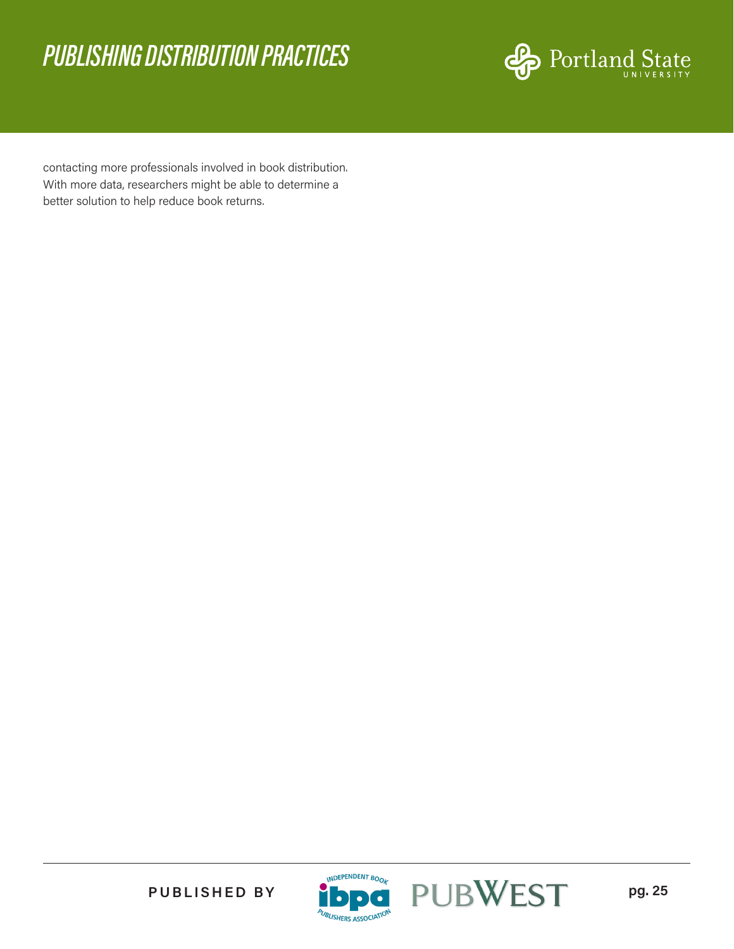

contacting more professionals involved in book distribution. With more data, researchers might be able to determine a better solution to help reduce book returns.





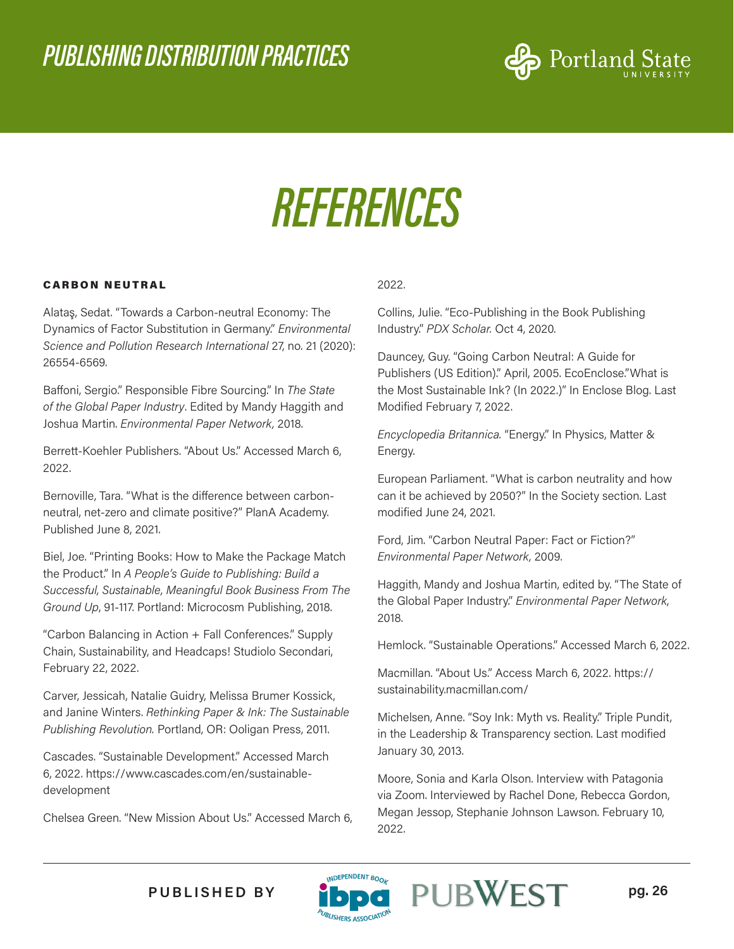

## *REFERENCES*

#### CARBON NEUTRAL

Alataş, Sedat. "Towards a Carbon-neutral Economy: The Dynamics of Factor Substitution in Germany." *Environmental Science and Pollution Research International* 27, no. 21 (2020): 26554-6569.

Baffoni, Sergio." Responsible Fibre Sourcing." In *The State of the Global Paper Industry*. Edited by Mandy Haggith and Joshua Martin. *Environmental Paper Network,* 2018.

Berrett-Koehler Publishers. "About Us." Accessed March 6, 2022.

Bernoville, Tara. "What is the difference between carbonneutral, net-zero and climate positive?" PlanA Academy. Published June 8, 2021.

Biel, Joe. "Printing Books: How to Make the Package Match the Product." In *A People's Guide to Publishing: Build a Successful, Sustainable, Meaningful Book Business From The Ground Up*, 91-117. Portland: Microcosm Publishing, 2018.

"Carbon Balancing in Action + Fall Conferences." Supply Chain, Sustainability, and Headcaps! Studiolo Secondari, February 22, 2022.

Carver, Jessicah, Natalie Guidry, Melissa Brumer Kossick, and Janine Winters. *Rethinking Paper & Ink: The Sustainable Publishing Revolution.* Portland, OR: Ooligan Press, 2011.

Cascades. "Sustainable Development." Accessed March 6, 2022. https://www.cascades.com/en/sustainabledevelopment

Chelsea Green. "New Mission About Us." Accessed March 6,

#### 2022.

Collins, Julie. "Eco-Publishing in the Book Publishing Industry." *PDX Scholar.* Oct 4, 2020.

Dauncey, Guy. "Going Carbon Neutral: A Guide for Publishers (US Edition)." April, 2005. EcoEnclose."What is the Most Sustainable Ink? (In 2022.)" In Enclose Blog. Last Modified February 7, 2022.

*Encyclopedia Britannica.* "Energy." In Physics, Matter & Energy.

European Parliament. "What is carbon neutrality and how can it be achieved by 2050?" In the Society section. Last modified June 24, 2021.

Ford, Jim. "Carbon Neutral Paper: Fact or Fiction?" *Environmental Paper Network,* 2009.

Haggith, Mandy and Joshua Martin, edited by. "The State of the Global Paper Industry." *Environmental Paper Network*, 2018.

Hemlock. "Sustainable Operations." Accessed March 6, 2022.

Macmillan. "About Us." Access March 6, 2022. https:// sustainability.macmillan.com/

Michelsen, Anne. "Soy Ink: Myth vs. Reality." Triple Pundit, in the Leadership & Transparency section. Last modified January 30, 2013.

Moore, Sonia and Karla Olson. Interview with Patagonia via Zoom. Interviewed by Rachel Done, Rebecca Gordon, Megan Jessop, Stephanie Johnson Lawson. February 10, 2022.



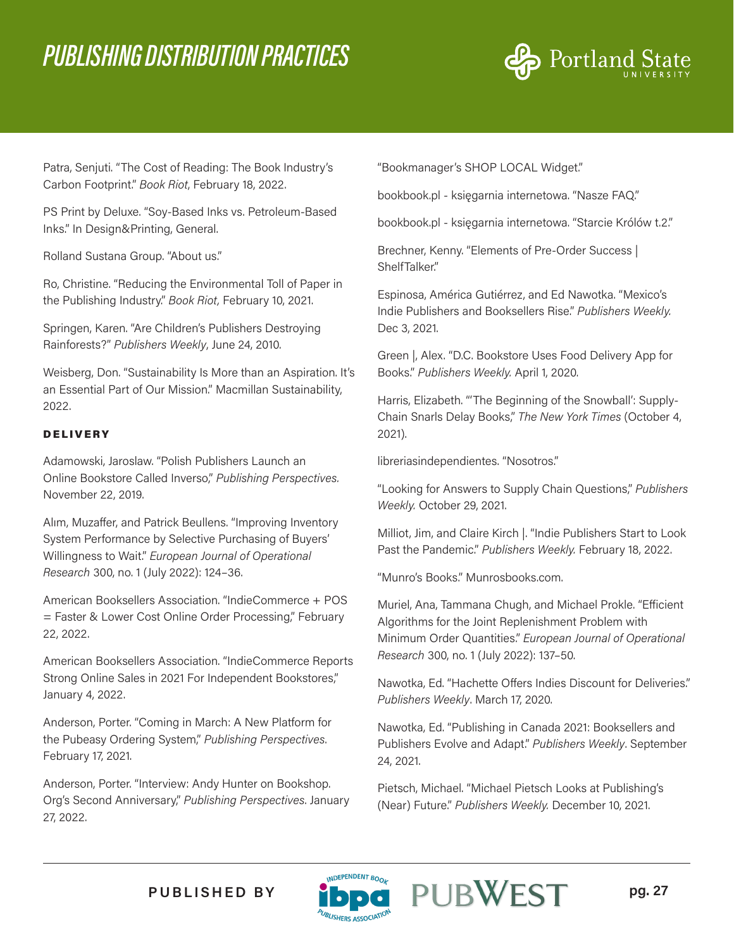

Patra, Senjuti. "The Cost of Reading: The Book Industry's Carbon Footprint." *Book Riot*, February 18, 2022.

PS Print by Deluxe. "Soy-Based Inks vs. Petroleum-Based Inks." In Design&Printing, General.

Rolland Sustana Group. "About us."

Ro, Christine. "Reducing the Environmental Toll of Paper in the Publishing Industry." *Book Riot,* February 10, 2021.

Springen, Karen. "Are Children's Publishers Destroying Rainforests?" *Publishers Weekly*, June 24, 2010.

Weisberg, Don. "Sustainability Is More than an Aspiration. It's an Essential Part of Our Mission." Macmillan Sustainability, 2022.

#### DELIVERY

Adamowski, Jaroslaw. "Polish Publishers Launch an Online Bookstore Called Inverso," *Publishing Perspectives.*  November 22, 2019.

Alım, Muzaffer, and Patrick Beullens. "Improving Inventory System Performance by Selective Purchasing of Buyers' Willingness to Wait." *European Journal of Operational Research* 300, no. 1 (July 2022): 124–36.

American Booksellers Association. "IndieCommerce + POS = Faster & Lower Cost Online Order Processing," February 22, 2022.

American Booksellers Association. "IndieCommerce Reports Strong Online Sales in 2021 For Independent Bookstores," January 4, 2022.

Anderson, Porter. "Coming in March: A New Platform for the Pubeasy Ordering System," *Publishing Perspectives*. February 17, 2021.

Anderson, Porter. "Interview: Andy Hunter on Bookshop. Org's Second Anniversary," *Publishing Perspectives*. January 27, 2022.

"Bookmanager's SHOP LOCAL Widget."

bookbook.pl - księgarnia internetowa. "Nasze FAQ."

bookbook.pl - księgarnia internetowa. "Starcie Królów t.2."

Brechner, Kenny. "Elements of Pre-Order Success | ShelfTalker."

Espinosa, América Gutiérrez, and Ed Nawotka. "Mexico's Indie Publishers and Booksellers Rise." *Publishers Weekly.* Dec 3, 2021.

Green |, Alex. "D.C. Bookstore Uses Food Delivery App for Books." *Publishers Weekly.* April 1, 2020.

Harris, Elizabeth. "'The Beginning of the Snowball': Supply-Chain Snarls Delay Books," *The New York Times* (October 4, 2021).

libreriasindependientes. "Nosotros."

"Looking for Answers to Supply Chain Questions," *Publishers Weekly.* October 29, 2021.

Milliot, Jim, and Claire Kirch |. "Indie Publishers Start to Look Past the Pandemic." *Publishers Weekly.* February 18, 2022.

"Munro's Books." Munrosbooks.com.

Muriel, Ana, Tammana Chugh, and Michael Prokle. "Efficient Algorithms for the Joint Replenishment Problem with Minimum Order Quantities." *European Journal of Operational Research* 300, no. 1 (July 2022): 137–50.

Nawotka, Ed. "Hachette Offers Indies Discount for Deliveries." *Publishers Weekly*. March 17, 2020.

Nawotka, Ed. "Publishing in Canada 2021: Booksellers and Publishers Evolve and Adapt." *Publishers Weekly*. September 24, 2021.

Pietsch, Michael. "Michael Pietsch Looks at Publishing's (Near) Future." *Publishers Weekly.* December 10, 2021.



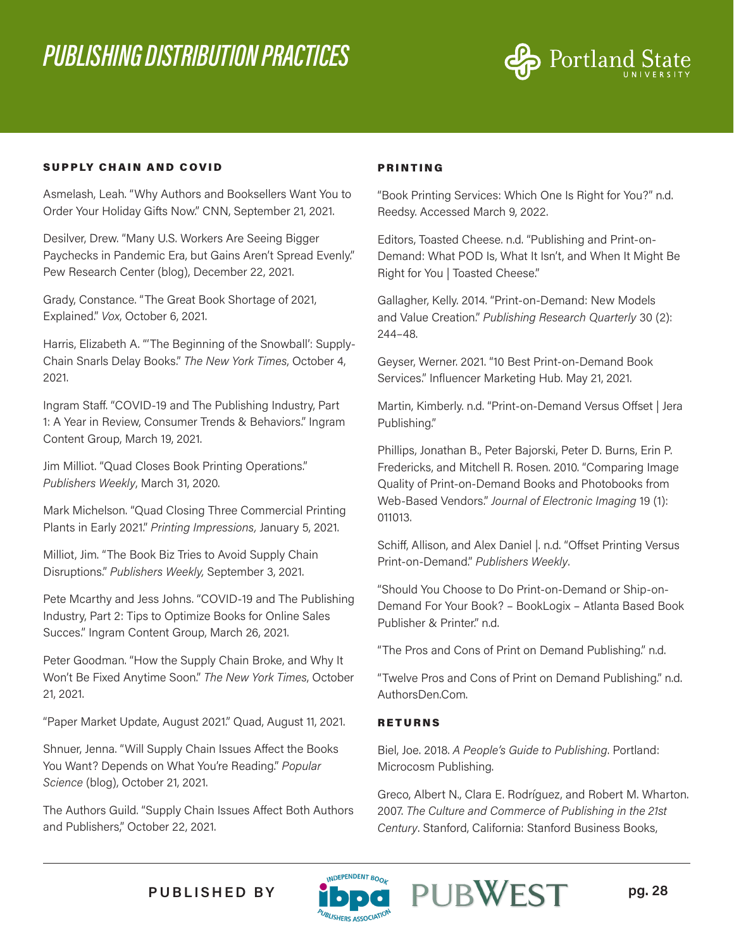

#### SUPPLY CHAIN AND COVID

Asmelash, Leah. "Why Authors and Booksellers Want You to Order Your Holiday Gifts Now." CNN, September 21, 2021.

Desilver, Drew. "Many U.S. Workers Are Seeing Bigger Paychecks in Pandemic Era, but Gains Aren't Spread Evenly." Pew Research Center (blog), December 22, 2021.

Grady, Constance. "The Great Book Shortage of 2021, Explained." *Vox*, October 6, 2021.

Harris, Elizabeth A. "'The Beginning of the Snowball': Supply-Chain Snarls Delay Books." *The New York Times*, October 4, 2021.

Ingram Staff. "COVID-19 and The Publishing Industry, Part 1: A Year in Review, Consumer Trends & Behaviors." Ingram Content Group, March 19, 2021.

Jim Milliot. "Quad Closes Book Printing Operations." *Publishers Weekly*, March 31, 2020.

Mark Michelson. "Quad Closing Three Commercial Printing Plants in Early 2021." *Printing Impressions,* January 5, 2021.

Milliot, Jim. "The Book Biz Tries to Avoid Supply Chain Disruptions." *Publishers Weekly,* September 3, 2021.

Pete Mcarthy and Jess Johns. "COVID-19 and The Publishing Industry, Part 2: Tips to Optimize Books for Online Sales Succes." Ingram Content Group, March 26, 2021.

Peter Goodman. "How the Supply Chain Broke, and Why It Won't Be Fixed Anytime Soon." *The New York Times*, October 21, 2021.

"Paper Market Update, August 2021." Quad, August 11, 2021.

Shnuer, Jenna. "Will Supply Chain Issues Affect the Books You Want? Depends on What You're Reading." *Popular Science* (blog), October 21, 2021.

The Authors Guild. "Supply Chain Issues Affect Both Authors and Publishers," October 22, 2021.

#### PRINTING

"Book Printing Services: Which One Is Right for You?" n.d. Reedsy. Accessed March 9, 2022.

Editors, Toasted Cheese. n.d. "Publishing and Print-on-Demand: What POD Is, What It Isn't, and When It Might Be Right for You | Toasted Cheese."

Gallagher, Kelly. 2014. "Print-on-Demand: New Models and Value Creation." *Publishing Research Quarterly* 30 (2): 244–48.

Geyser, Werner. 2021. "10 Best Print-on-Demand Book Services." Influencer Marketing Hub. May 21, 2021.

Martin, Kimberly. n.d. "Print-on-Demand Versus Offset | Jera Publishing."

Phillips, Jonathan B., Peter Bajorski, Peter D. Burns, Erin P. Fredericks, and Mitchell R. Rosen. 2010. "Comparing Image Quality of Print-on-Demand Books and Photobooks from Web-Based Vendors." *Journal of Electronic Imaging* 19 (1): 011013.

Schiff, Allison, and Alex Daniel |. n.d. "Offset Printing Versus Print-on-Demand." *Publishers Weekly*.

"Should You Choose to Do Print-on-Demand or Ship-on-Demand For Your Book? – BookLogix – Atlanta Based Book Publisher & Printer." n.d.

"The Pros and Cons of Print on Demand Publishing." n.d.

"Twelve Pros and Cons of Print on Demand Publishing." n.d. AuthorsDen.Com.

#### RETURNS

Biel, Joe. 2018. *A People's Guide to Publishing*. Portland: Microcosm Publishing.

Greco, Albert N., Clara E. Rodríguez, and Robert M. Wharton. 2007. *The Culture and Commerce of Publishing in the 21st Century*. Stanford, California: Stanford Business Books,